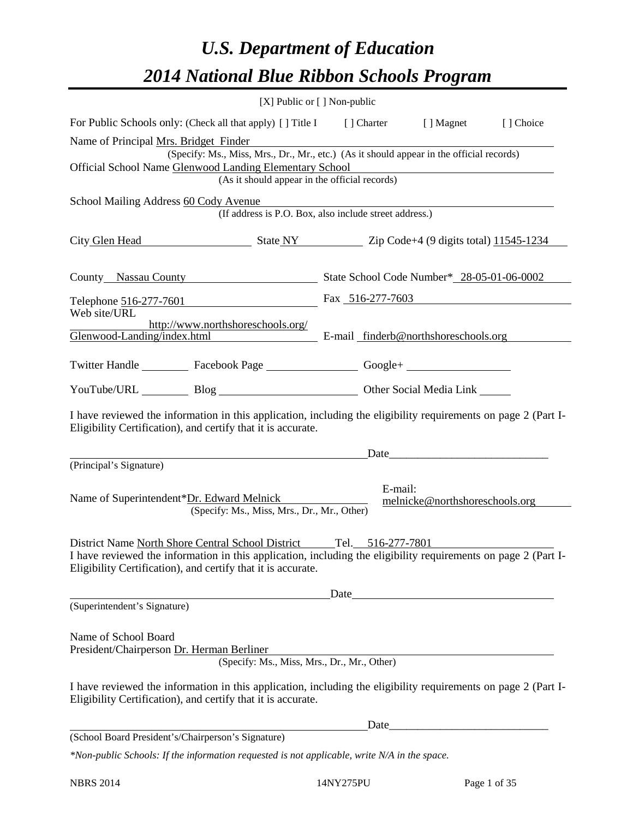# *U.S. Department of Education 2014 National Blue Ribbon Schools Program*

| [X] Public or [] Non-public                                                                                                                                                                                                                           |                                                                 |         |                                |           |  |  |  |  |  |
|-------------------------------------------------------------------------------------------------------------------------------------------------------------------------------------------------------------------------------------------------------|-----------------------------------------------------------------|---------|--------------------------------|-----------|--|--|--|--|--|
| For Public Schools only: (Check all that apply) [] Title I [] Charter [] Magnet                                                                                                                                                                       |                                                                 |         |                                | [] Choice |  |  |  |  |  |
| Name of Principal Mrs. Bridget Finder<br>(Specify: Ms., Miss, Mrs., Dr., Mr., etc.) (As it should appear in the official records)<br>Official School Name Glenwood Landing Elementary School<br>(As it should appear in the official records)         |                                                                 |         |                                |           |  |  |  |  |  |
|                                                                                                                                                                                                                                                       |                                                                 |         |                                |           |  |  |  |  |  |
| School Mailing Address 60 Cody Avenue<br>(If address is P.O. Box, also include street address.)                                                                                                                                                       |                                                                 |         |                                |           |  |  |  |  |  |
| City Glen Head State NY Zip Code+4 (9 digits total) 11545-1234                                                                                                                                                                                        |                                                                 |         |                                |           |  |  |  |  |  |
|                                                                                                                                                                                                                                                       | County Nassau County State School Code Number* 28-05-01-06-0002 |         |                                |           |  |  |  |  |  |
| Telephone 516-277-7601 Fax 516-277-7603                                                                                                                                                                                                               |                                                                 |         |                                |           |  |  |  |  |  |
| Web site/URL<br>http://www.northshoreschools.org/<br>Glenwood-Landing/index.html E-mail finderb@northshoreschools.org                                                                                                                                 |                                                                 |         |                                |           |  |  |  |  |  |
| Twitter Handle ____________ Facebook Page _____________________ Google+ ____________________________                                                                                                                                                  |                                                                 |         |                                |           |  |  |  |  |  |
| YouTube/URL Blog Blog Diher Social Media Link                                                                                                                                                                                                         |                                                                 |         |                                |           |  |  |  |  |  |
| I have reviewed the information in this application, including the eligibility requirements on page 2 (Part I-<br>Eligibility Certification), and certify that it is accurate.                                                                        |                                                                 |         |                                |           |  |  |  |  |  |
| (Principal's Signature)                                                                                                                                                                                                                               |                                                                 |         | Date                           |           |  |  |  |  |  |
| Name of Superintendent*Dr. Edward Melnick<br>(Specify: Ms., Miss, Mrs., Dr., Mr., Other)                                                                                                                                                              |                                                                 | E-mail: | melnicke@northshoreschools.org |           |  |  |  |  |  |
| District Name North Shore Central School District Tel. 516-277-7801<br>I have reviewed the information in this application, including the eligibility requirements on page 2 (Part I-<br>Eligibility Certification), and certify that it is accurate. |                                                                 |         |                                |           |  |  |  |  |  |
|                                                                                                                                                                                                                                                       |                                                                 |         | Date                           |           |  |  |  |  |  |
| (Superintendent's Signature)                                                                                                                                                                                                                          |                                                                 |         |                                |           |  |  |  |  |  |
| Name of School Board<br>President/Chairperson Dr. Herman Berliner<br>(Specify: Ms., Miss, Mrs., Dr., Mr., Other)                                                                                                                                      |                                                                 |         |                                |           |  |  |  |  |  |
| I have reviewed the information in this application, including the eligibility requirements on page 2 (Part I-<br>Eligibility Certification), and certify that it is accurate.                                                                        |                                                                 |         |                                |           |  |  |  |  |  |
| (School Board President's/Chairperson's Signature)                                                                                                                                                                                                    |                                                                 |         |                                |           |  |  |  |  |  |
|                                                                                                                                                                                                                                                       |                                                                 |         |                                |           |  |  |  |  |  |

*\*Non-public Schools: If the information requested is not applicable, write N/A in the space.*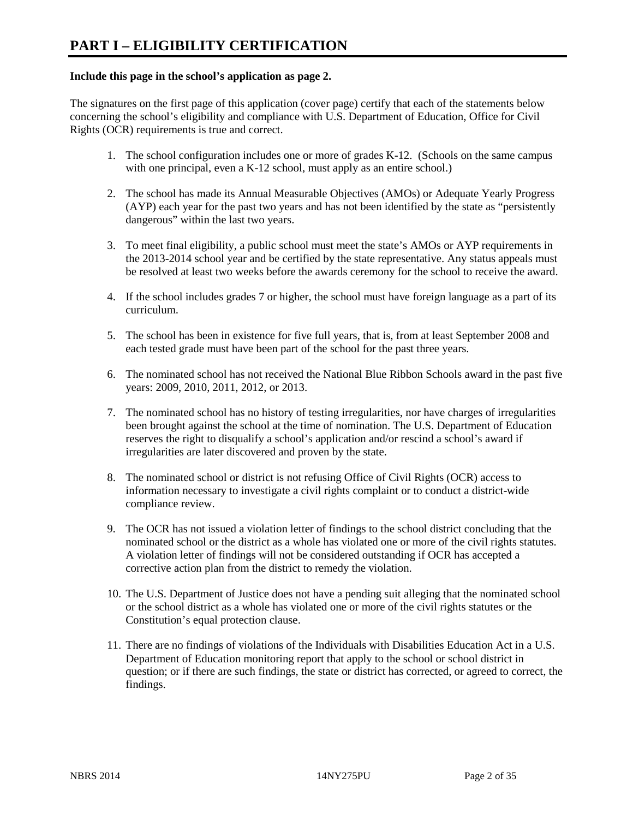#### **Include this page in the school's application as page 2.**

The signatures on the first page of this application (cover page) certify that each of the statements below concerning the school's eligibility and compliance with U.S. Department of Education, Office for Civil Rights (OCR) requirements is true and correct.

- 1. The school configuration includes one or more of grades K-12. (Schools on the same campus with one principal, even a K-12 school, must apply as an entire school.)
- 2. The school has made its Annual Measurable Objectives (AMOs) or Adequate Yearly Progress (AYP) each year for the past two years and has not been identified by the state as "persistently dangerous" within the last two years.
- 3. To meet final eligibility, a public school must meet the state's AMOs or AYP requirements in the 2013-2014 school year and be certified by the state representative. Any status appeals must be resolved at least two weeks before the awards ceremony for the school to receive the award.
- 4. If the school includes grades 7 or higher, the school must have foreign language as a part of its curriculum.
- 5. The school has been in existence for five full years, that is, from at least September 2008 and each tested grade must have been part of the school for the past three years.
- 6. The nominated school has not received the National Blue Ribbon Schools award in the past five years: 2009, 2010, 2011, 2012, or 2013.
- 7. The nominated school has no history of testing irregularities, nor have charges of irregularities been brought against the school at the time of nomination. The U.S. Department of Education reserves the right to disqualify a school's application and/or rescind a school's award if irregularities are later discovered and proven by the state.
- 8. The nominated school or district is not refusing Office of Civil Rights (OCR) access to information necessary to investigate a civil rights complaint or to conduct a district-wide compliance review.
- 9. The OCR has not issued a violation letter of findings to the school district concluding that the nominated school or the district as a whole has violated one or more of the civil rights statutes. A violation letter of findings will not be considered outstanding if OCR has accepted a corrective action plan from the district to remedy the violation.
- 10. The U.S. Department of Justice does not have a pending suit alleging that the nominated school or the school district as a whole has violated one or more of the civil rights statutes or the Constitution's equal protection clause.
- 11. There are no findings of violations of the Individuals with Disabilities Education Act in a U.S. Department of Education monitoring report that apply to the school or school district in question; or if there are such findings, the state or district has corrected, or agreed to correct, the findings.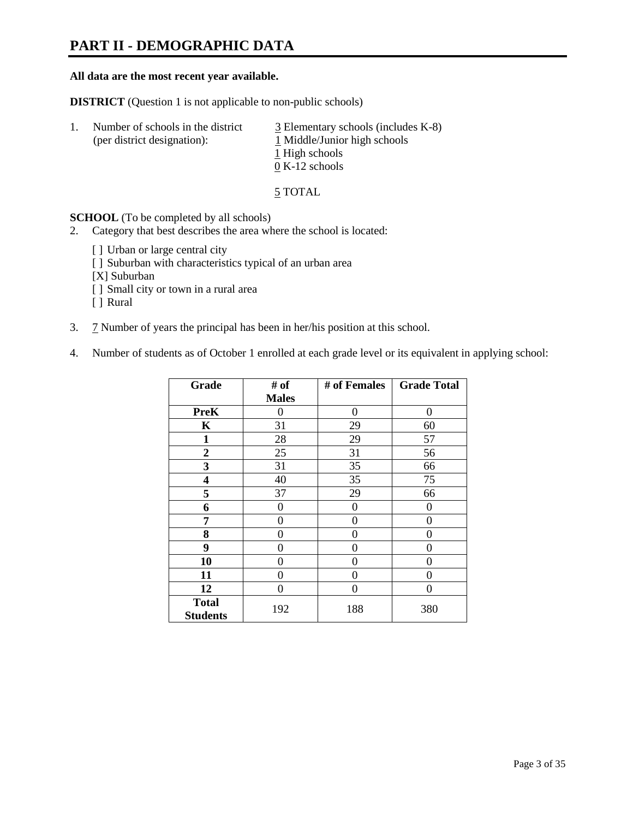# **PART II - DEMOGRAPHIC DATA**

#### **All data are the most recent year available.**

**DISTRICT** (Question 1 is not applicable to non-public schools)

| 1. | Number of schools in the district<br>(per district designation): | $\overline{3}$ Elementary schools (includes K-8)<br>1 Middle/Junior high schools<br>1 High schools<br>$0 K-12$ schools |
|----|------------------------------------------------------------------|------------------------------------------------------------------------------------------------------------------------|
|    |                                                                  |                                                                                                                        |

5 TOTAL

**SCHOOL** (To be completed by all schools)

- 2. Category that best describes the area where the school is located:
	- [] Urban or large central city
	- [ ] Suburban with characteristics typical of an urban area
	- [X] Suburban
	- [ ] Small city or town in a rural area
	- [ ] Rural
- 3. 7 Number of years the principal has been in her/his position at this school.
- 4. Number of students as of October 1 enrolled at each grade level or its equivalent in applying school:

| Grade                           | # of         | # of Females | <b>Grade Total</b> |
|---------------------------------|--------------|--------------|--------------------|
|                                 | <b>Males</b> |              |                    |
| <b>PreK</b>                     | 0            | $\theta$     | 0                  |
| K                               | 31           | 29           | 60                 |
| $\mathbf{1}$                    | 28           | 29           | 57                 |
| $\mathbf{2}$                    | 25           | 31           | 56                 |
| 3                               | 31           | 35           | 66                 |
| 4                               | 40           | 35           | 75                 |
| 5                               | 37           | 29           | 66                 |
| 6                               | 0            | 0            | $\theta$           |
| 7                               | 0            | 0            | 0                  |
| 8                               | 0            | 0            | 0                  |
| 9                               | 0            | 0            | 0                  |
| 10                              | 0            | $\Omega$     | 0                  |
| 11                              | 0            | 0            | 0                  |
| 12                              | 0            | 0            | 0                  |
| <b>Total</b><br><b>Students</b> | 192          | 188          | 380                |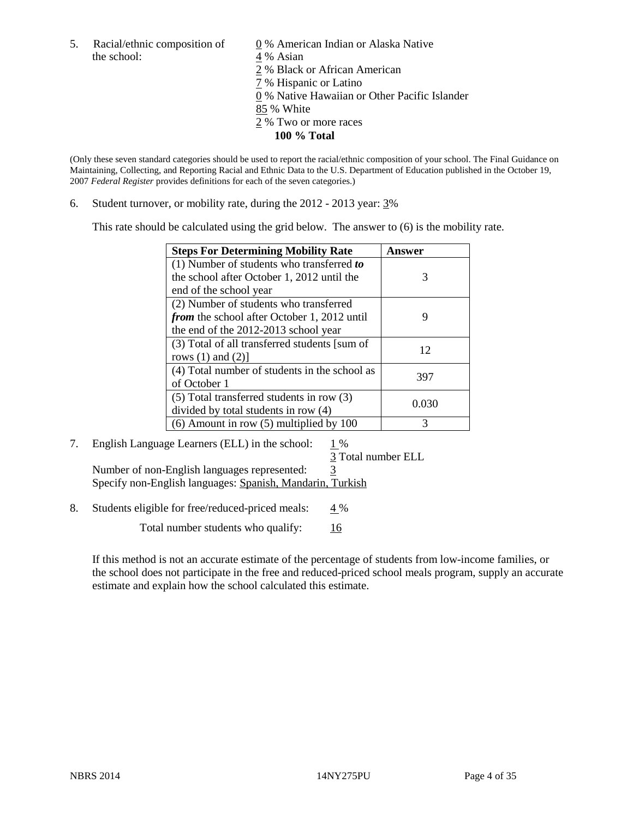5. Racial/ethnic composition of  $\qquad \qquad \underline{0}$  % American Indian or Alaska Native the school: 4 % Asian

 % Black or African American % Hispanic or Latino % Native Hawaiian or Other Pacific Islander 85 % White % Two or more races **100 % Total**

(Only these seven standard categories should be used to report the racial/ethnic composition of your school. The Final Guidance on Maintaining, Collecting, and Reporting Racial and Ethnic Data to the U.S. Department of Education published in the October 19, 2007 *Federal Register* provides definitions for each of the seven categories.)

6. Student turnover, or mobility rate, during the 2012 - 2013 year: 3%

This rate should be calculated using the grid below. The answer to (6) is the mobility rate.

| <b>Steps For Determining Mobility Rate</b>         | Answer |
|----------------------------------------------------|--------|
| $(1)$ Number of students who transferred to        |        |
| the school after October 1, 2012 until the         | 3      |
| end of the school year                             |        |
| (2) Number of students who transferred             |        |
| <i>from</i> the school after October 1, 2012 until | 9      |
| the end of the 2012-2013 school year               |        |
| (3) Total of all transferred students [sum of      | 12     |
| rows $(1)$ and $(2)$ ]                             |        |
| (4) Total number of students in the school as      | 397    |
| of October 1                                       |        |
| (5) Total transferred students in row (3)          | 0.030  |
| divided by total students in row (4)               |        |
| $(6)$ Amount in row $(5)$ multiplied by 100        | 3      |

## 7. English Language Learners (ELL) in the school:  $1\%$

3 Total number ELL

Number of non-English languages represented: 3 Specify non-English languages: Spanish, Mandarin, Turkish

8. Students eligible for free/reduced-priced meals: 4 %

Total number students who qualify:  $\frac{16}{6}$ 

If this method is not an accurate estimate of the percentage of students from low-income families, or the school does not participate in the free and reduced-priced school meals program, supply an accurate estimate and explain how the school calculated this estimate.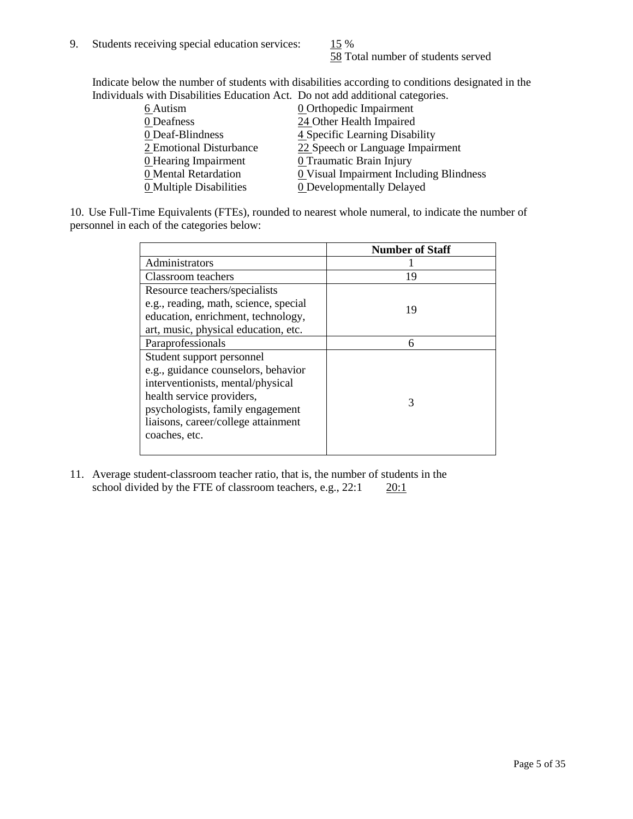58 Total number of students served

Indicate below the number of students with disabilities according to conditions designated in the Individuals with Disabilities Education Act. Do not add additional categories.

| 6 Autism                    | <b>0</b> Orthopedic Impairment                 |
|-----------------------------|------------------------------------------------|
| 0 Deafness                  | 24 Other Health Impaired                       |
| 0 Deaf-Blindness            | 4 Specific Learning Disability                 |
| 2 Emotional Disturbance     | 22 Speech or Language Impairment               |
| <b>0</b> Hearing Impairment | 0 Traumatic Brain Injury                       |
| 0 Mental Retardation        | <b>0</b> Visual Impairment Including Blindness |
| 0 Multiple Disabilities     | <b>0</b> Developmentally Delayed               |
|                             |                                                |

10. Use Full-Time Equivalents (FTEs), rounded to nearest whole numeral, to indicate the number of personnel in each of the categories below:

|                                       | <b>Number of Staff</b> |
|---------------------------------------|------------------------|
| Administrators                        |                        |
| Classroom teachers                    | 19                     |
| Resource teachers/specialists         |                        |
| e.g., reading, math, science, special | 19                     |
| education, enrichment, technology,    |                        |
| art, music, physical education, etc.  |                        |
| Paraprofessionals                     | 6                      |
| Student support personnel             |                        |
| e.g., guidance counselors, behavior   |                        |
| interventionists, mental/physical     |                        |
| health service providers,             | 3                      |
| psychologists, family engagement      |                        |
| liaisons, career/college attainment   |                        |
| coaches, etc.                         |                        |
|                                       |                        |

11. Average student-classroom teacher ratio, that is, the number of students in the school divided by the FTE of classroom teachers, e.g.,  $22:1$   $20:1$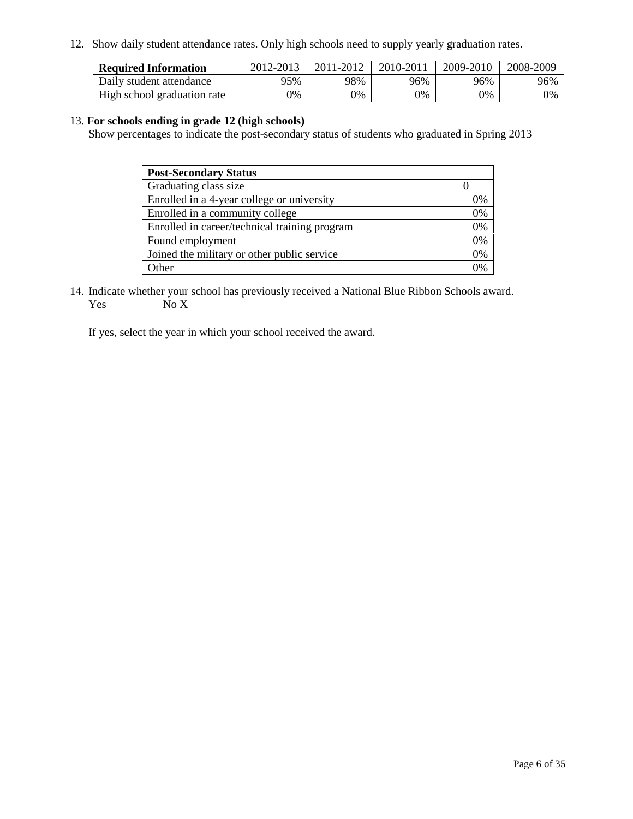12. Show daily student attendance rates. Only high schools need to supply yearly graduation rates.

| <b>Required Information</b> | 2012-2013 | 2011-2012 | 2010-2011 | 2009-2010 | 2008-2009 |
|-----------------------------|-----------|-----------|-----------|-----------|-----------|
| Daily student attendance    | 95%       | 98%       | 96%       | 96%       | 96%       |
| High school graduation rate | 9%        | 0%        | 0%        | 0%        | 0%        |

#### 13. **For schools ending in grade 12 (high schools)**

Show percentages to indicate the post-secondary status of students who graduated in Spring 2013

| <b>Post-Secondary Status</b>                  |          |
|-----------------------------------------------|----------|
| Graduating class size                         |          |
| Enrolled in a 4-year college or university    | 0%       |
| Enrolled in a community college               | 0%       |
| Enrolled in career/technical training program | 0%       |
| Found employment                              | 0%       |
| Joined the military or other public service   | 0%       |
| . Other                                       | $\gamma$ |

14. Indicate whether your school has previously received a National Blue Ribbon Schools award. Yes  $No X$ 

If yes, select the year in which your school received the award.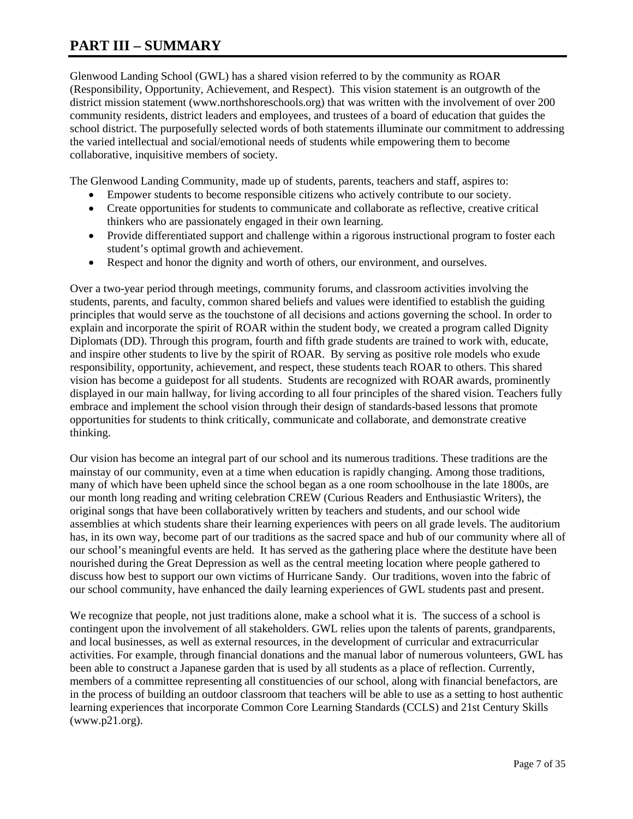# **PART III – SUMMARY**

Glenwood Landing School (GWL) has a shared vision referred to by the community as ROAR (Responsibility, Opportunity, Achievement, and Respect). This vision statement is an outgrowth of the district mission statement (www.northshoreschools.org) that was written with the involvement of over 200 community residents, district leaders and employees, and trustees of a board of education that guides the school district. The purposefully selected words of both statements illuminate our commitment to addressing the varied intellectual and social/emotional needs of students while empowering them to become collaborative, inquisitive members of society.

The Glenwood Landing Community, made up of students, parents, teachers and staff, aspires to:

- Empower students to become responsible citizens who actively contribute to our society.
- Create opportunities for students to communicate and collaborate as reflective, creative critical thinkers who are passionately engaged in their own learning.
- Provide differentiated support and challenge within a rigorous instructional program to foster each student's optimal growth and achievement.
- Respect and honor the dignity and worth of others, our environment, and ourselves.

Over a two-year period through meetings, community forums, and classroom activities involving the students, parents, and faculty, common shared beliefs and values were identified to establish the guiding principles that would serve as the touchstone of all decisions and actions governing the school. In order to explain and incorporate the spirit of ROAR within the student body, we created a program called Dignity Diplomats (DD). Through this program, fourth and fifth grade students are trained to work with, educate, and inspire other students to live by the spirit of ROAR. By serving as positive role models who exude responsibility, opportunity, achievement, and respect, these students teach ROAR to others. This shared vision has become a guidepost for all students. Students are recognized with ROAR awards, prominently displayed in our main hallway, for living according to all four principles of the shared vision. Teachers fully embrace and implement the school vision through their design of standards-based lessons that promote opportunities for students to think critically, communicate and collaborate, and demonstrate creative thinking.

Our vision has become an integral part of our school and its numerous traditions. These traditions are the mainstay of our community, even at a time when education is rapidly changing. Among those traditions, many of which have been upheld since the school began as a one room schoolhouse in the late 1800s, are our month long reading and writing celebration CREW (Curious Readers and Enthusiastic Writers), the original songs that have been collaboratively written by teachers and students, and our school wide assemblies at which students share their learning experiences with peers on all grade levels. The auditorium has, in its own way, become part of our traditions as the sacred space and hub of our community where all of our school's meaningful events are held. It has served as the gathering place where the destitute have been nourished during the Great Depression as well as the central meeting location where people gathered to discuss how best to support our own victims of Hurricane Sandy. Our traditions, woven into the fabric of our school community, have enhanced the daily learning experiences of GWL students past and present.

We recognize that people, not just traditions alone, make a school what it is. The success of a school is contingent upon the involvement of all stakeholders. GWL relies upon the talents of parents, grandparents, and local businesses, as well as external resources, in the development of curricular and extracurricular activities. For example, through financial donations and the manual labor of numerous volunteers, GWL has been able to construct a Japanese garden that is used by all students as a place of reflection. Currently, members of a committee representing all constituencies of our school, along with financial benefactors, are in the process of building an outdoor classroom that teachers will be able to use as a setting to host authentic learning experiences that incorporate Common Core Learning Standards (CCLS) and 21st Century Skills (www.p21.org).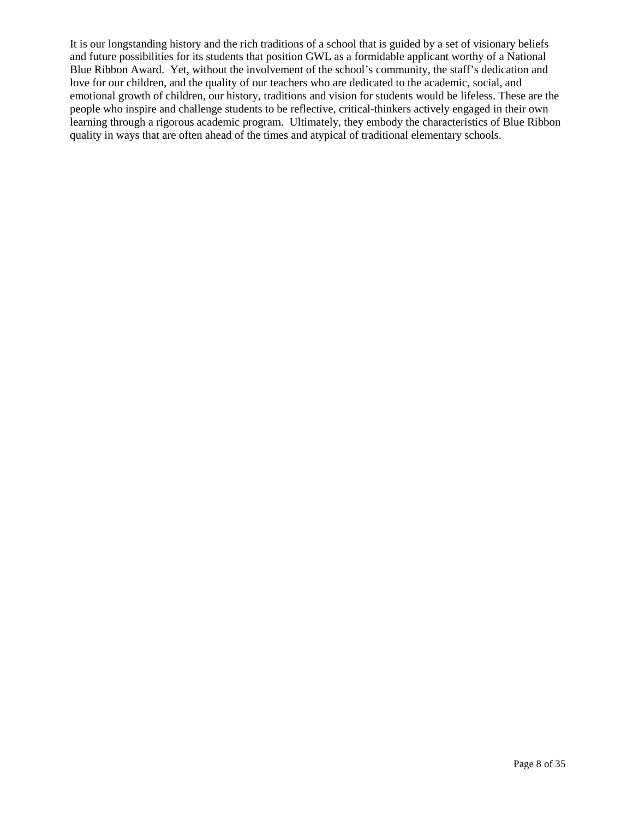It is our longstanding history and the rich traditions of a school that is guided by a set of visionary beliefs and future possibilities for its students that position GWL as a formidable applicant worthy of a National Blue Ribbon Award. Yet, without the involvement of the school's community, the staff's dedication and love for our children, and the quality of our teachers who are dedicated to the academic, social, and emotional growth of children, our history, traditions and vision for students would be lifeless. These are the people who inspire and challenge students to be reflective, critical-thinkers actively engaged in their own learning through a rigorous academic program. Ultimately, they embody the characteristics of Blue Ribbon quality in ways that are often ahead of the times and atypical of traditional elementary schools.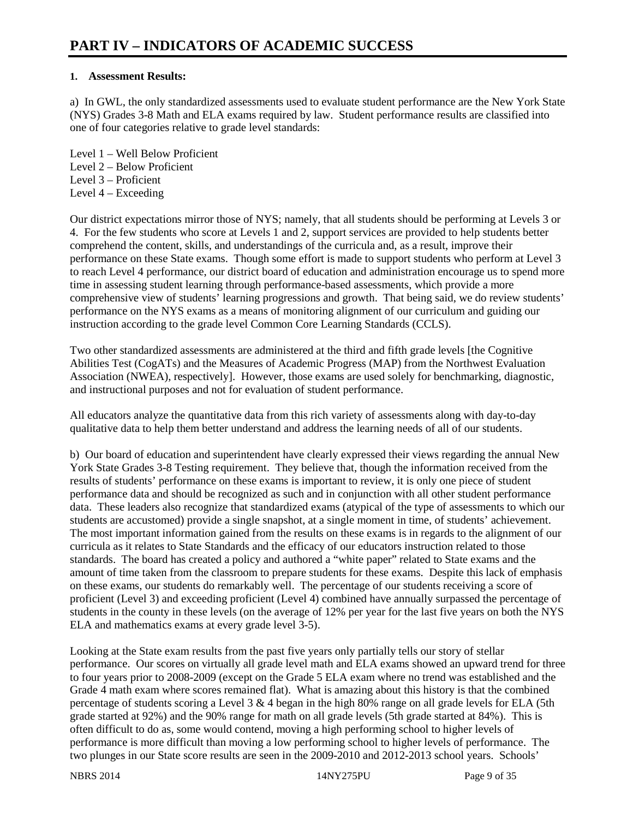#### **1. Assessment Results:**

a) In GWL, the only standardized assessments used to evaluate student performance are the New York State (NYS) Grades 3-8 Math and ELA exams required by law. Student performance results are classified into one of four categories relative to grade level standards:

Level 1 – Well Below Proficient Level 2 – Below Proficient Level 3 – Proficient Level 4 – Exceeding

Our district expectations mirror those of NYS; namely, that all students should be performing at Levels 3 or 4. For the few students who score at Levels 1 and 2, support services are provided to help students better comprehend the content, skills, and understandings of the curricula and, as a result, improve their performance on these State exams. Though some effort is made to support students who perform at Level 3 to reach Level 4 performance, our district board of education and administration encourage us to spend more time in assessing student learning through performance-based assessments, which provide a more comprehensive view of students' learning progressions and growth. That being said, we do review students' performance on the NYS exams as a means of monitoring alignment of our curriculum and guiding our instruction according to the grade level Common Core Learning Standards (CCLS).

Two other standardized assessments are administered at the third and fifth grade levels [the Cognitive Abilities Test (CogATs) and the Measures of Academic Progress (MAP) from the Northwest Evaluation Association (NWEA), respectively]. However, those exams are used solely for benchmarking, diagnostic, and instructional purposes and not for evaluation of student performance.

All educators analyze the quantitative data from this rich variety of assessments along with day-to-day qualitative data to help them better understand and address the learning needs of all of our students.

b) Our board of education and superintendent have clearly expressed their views regarding the annual New York State Grades 3-8 Testing requirement. They believe that, though the information received from the results of students' performance on these exams is important to review, it is only one piece of student performance data and should be recognized as such and in conjunction with all other student performance data. These leaders also recognize that standardized exams (atypical of the type of assessments to which our students are accustomed) provide a single snapshot, at a single moment in time, of students' achievement. The most important information gained from the results on these exams is in regards to the alignment of our curricula as it relates to State Standards and the efficacy of our educators instruction related to those standards. The board has created a policy and authored a "white paper" related to State exams and the amount of time taken from the classroom to prepare students for these exams. Despite this lack of emphasis on these exams, our students do remarkably well. The percentage of our students receiving a score of proficient (Level 3) and exceeding proficient (Level 4) combined have annually surpassed the percentage of students in the county in these levels (on the average of 12% per year for the last five years on both the NYS ELA and mathematics exams at every grade level 3-5).

Looking at the State exam results from the past five years only partially tells our story of stellar performance. Our scores on virtually all grade level math and ELA exams showed an upward trend for three to four years prior to 2008-2009 (except on the Grade 5 ELA exam where no trend was established and the Grade 4 math exam where scores remained flat). What is amazing about this history is that the combined percentage of students scoring a Level  $3 \& 4$  began in the high 80% range on all grade levels for ELA (5th grade started at 92%) and the 90% range for math on all grade levels (5th grade started at 84%). This is often difficult to do as, some would contend, moving a high performing school to higher levels of performance is more difficult than moving a low performing school to higher levels of performance. The two plunges in our State score results are seen in the 2009-2010 and 2012-2013 school years. Schools'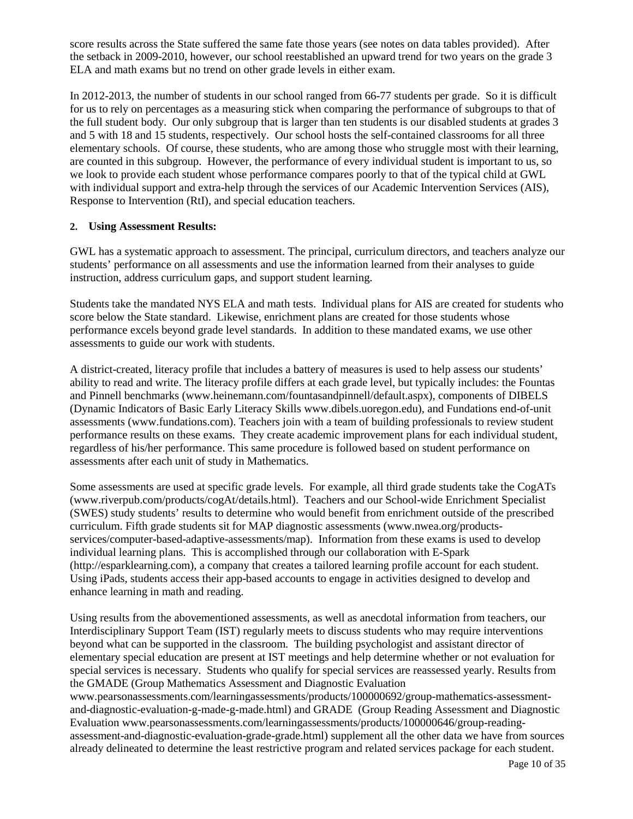score results across the State suffered the same fate those years (see notes on data tables provided). After the setback in 2009-2010, however, our school reestablished an upward trend for two years on the grade 3 ELA and math exams but no trend on other grade levels in either exam.

In 2012-2013, the number of students in our school ranged from 66-77 students per grade. So it is difficult for us to rely on percentages as a measuring stick when comparing the performance of subgroups to that of the full student body. Our only subgroup that is larger than ten students is our disabled students at grades 3 and 5 with 18 and 15 students, respectively. Our school hosts the self-contained classrooms for all three elementary schools. Of course, these students, who are among those who struggle most with their learning, are counted in this subgroup. However, the performance of every individual student is important to us, so we look to provide each student whose performance compares poorly to that of the typical child at GWL with individual support and extra-help through the services of our Academic Intervention Services (AIS), Response to Intervention (RtI), and special education teachers.

#### **2. Using Assessment Results:**

GWL has a systematic approach to assessment. The principal, curriculum directors, and teachers analyze our students' performance on all assessments and use the information learned from their analyses to guide instruction, address curriculum gaps, and support student learning.

Students take the mandated NYS ELA and math tests. Individual plans for AIS are created for students who score below the State standard. Likewise, enrichment plans are created for those students whose performance excels beyond grade level standards. In addition to these mandated exams, we use other assessments to guide our work with students.

A district-created, literacy profile that includes a battery of measures is used to help assess our students' ability to read and write. The literacy profile differs at each grade level, but typically includes: the Fountas and Pinnell benchmarks (www.heinemann.com/fountasandpinnell/default.aspx), components of DIBELS (Dynamic Indicators of Basic Early Literacy Skills www.dibels.uoregon.edu), and Fundations end-of-unit assessments (www.fundations.com). Teachers join with a team of building professionals to review student performance results on these exams. They create academic improvement plans for each individual student, regardless of his/her performance. This same procedure is followed based on student performance on assessments after each unit of study in Mathematics.

Some assessments are used at specific grade levels. For example, all third grade students take the CogATs (www.riverpub.com/products/cogAt/details.html). Teachers and our School-wide Enrichment Specialist (SWES) study students' results to determine who would benefit from enrichment outside of the prescribed curriculum. Fifth grade students sit for MAP diagnostic assessments (www.nwea.org/productsservices/computer-based-adaptive-assessments/map). Information from these exams is used to develop individual learning plans. This is accomplished through our collaboration with E-Spark (http://esparklearning.com), a company that creates a tailored learning profile account for each student. Using iPads, students access their app-based accounts to engage in activities designed to develop and enhance learning in math and reading.

Using results from the abovementioned assessments, as well as anecdotal information from teachers, our Interdisciplinary Support Team (IST) regularly meets to discuss students who may require interventions beyond what can be supported in the classroom. The building psychologist and assistant director of elementary special education are present at IST meetings and help determine whether or not evaluation for special services is necessary. Students who qualify for special services are reassessed yearly. Results from the GMADE (Group Mathematics Assessment and Diagnostic Evaluation www.pearsonassessments.com/learningassessments/products/100000692/group-mathematics-assessment-

and-diagnostic-evaluation-g-made-g-made.html) and GRADE (Group Reading Assessment and Diagnostic Evaluation www.pearsonassessments.com/learningassessments/products/100000646/group-readingassessment-and-diagnostic-evaluation-grade-grade.html) supplement all the other data we have from sources already delineated to determine the least restrictive program and related services package for each student.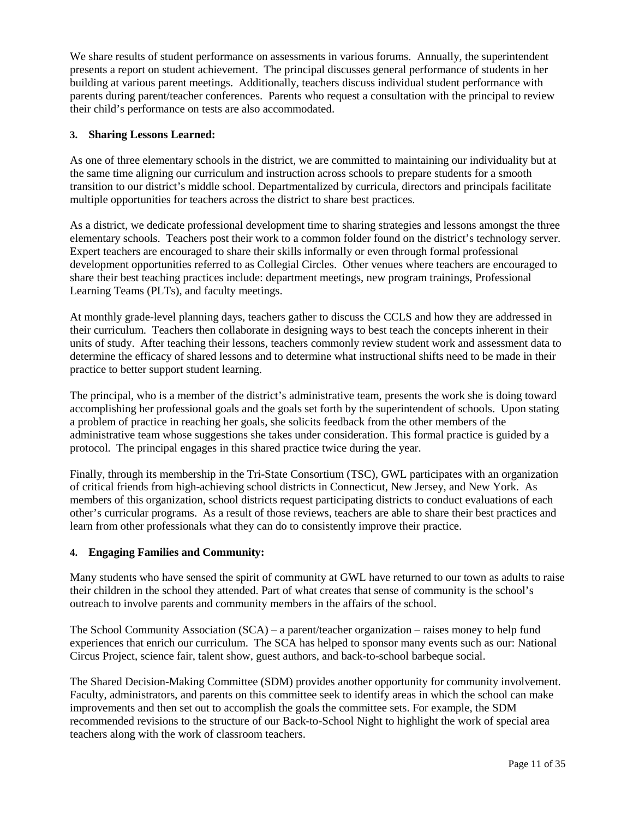We share results of student performance on assessments in various forums. Annually, the superintendent presents a report on student achievement. The principal discusses general performance of students in her building at various parent meetings. Additionally, teachers discuss individual student performance with parents during parent/teacher conferences. Parents who request a consultation with the principal to review their child's performance on tests are also accommodated.

#### **3. Sharing Lessons Learned:**

As one of three elementary schools in the district, we are committed to maintaining our individuality but at the same time aligning our curriculum and instruction across schools to prepare students for a smooth transition to our district's middle school. Departmentalized by curricula, directors and principals facilitate multiple opportunities for teachers across the district to share best practices.

As a district, we dedicate professional development time to sharing strategies and lessons amongst the three elementary schools. Teachers post their work to a common folder found on the district's technology server. Expert teachers are encouraged to share their skills informally or even through formal professional development opportunities referred to as Collegial Circles. Other venues where teachers are encouraged to share their best teaching practices include: department meetings, new program trainings, Professional Learning Teams (PLTs), and faculty meetings.

At monthly grade-level planning days, teachers gather to discuss the CCLS and how they are addressed in their curriculum. Teachers then collaborate in designing ways to best teach the concepts inherent in their units of study. After teaching their lessons, teachers commonly review student work and assessment data to determine the efficacy of shared lessons and to determine what instructional shifts need to be made in their practice to better support student learning.

The principal, who is a member of the district's administrative team, presents the work she is doing toward accomplishing her professional goals and the goals set forth by the superintendent of schools. Upon stating a problem of practice in reaching her goals, she solicits feedback from the other members of the administrative team whose suggestions she takes under consideration. This formal practice is guided by a protocol. The principal engages in this shared practice twice during the year.

Finally, through its membership in the Tri-State Consortium (TSC), GWL participates with an organization of critical friends from high-achieving school districts in Connecticut, New Jersey, and New York. As members of this organization, school districts request participating districts to conduct evaluations of each other's curricular programs. As a result of those reviews, teachers are able to share their best practices and learn from other professionals what they can do to consistently improve their practice.

#### **4. Engaging Families and Community:**

Many students who have sensed the spirit of community at GWL have returned to our town as adults to raise their children in the school they attended. Part of what creates that sense of community is the school's outreach to involve parents and community members in the affairs of the school.

The School Community Association (SCA) – a parent/teacher organization – raises money to help fund experiences that enrich our curriculum. The SCA has helped to sponsor many events such as our: National Circus Project, science fair, talent show, guest authors, and back-to-school barbeque social.

The Shared Decision-Making Committee (SDM) provides another opportunity for community involvement. Faculty, administrators, and parents on this committee seek to identify areas in which the school can make improvements and then set out to accomplish the goals the committee sets. For example, the SDM recommended revisions to the structure of our Back-to-School Night to highlight the work of special area teachers along with the work of classroom teachers.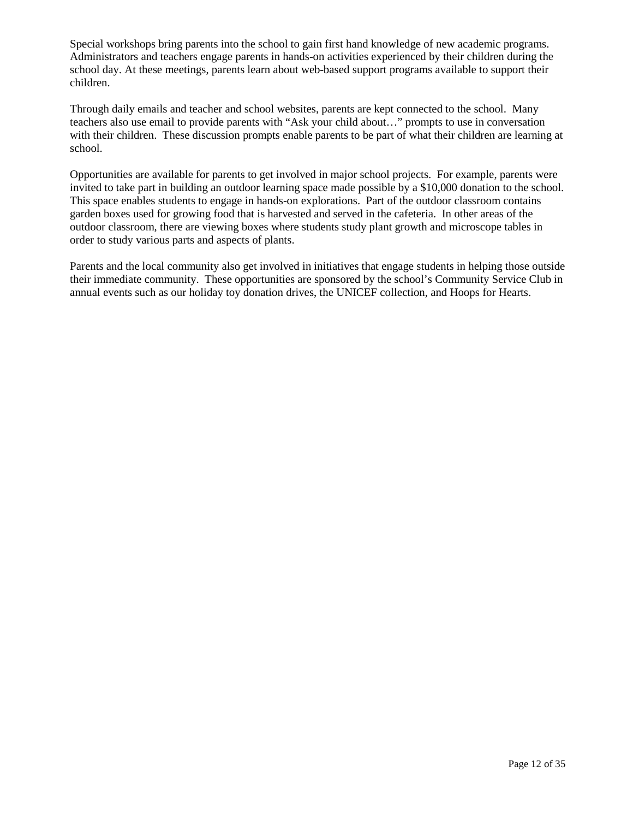Special workshops bring parents into the school to gain first hand knowledge of new academic programs. Administrators and teachers engage parents in hands-on activities experienced by their children during the school day. At these meetings, parents learn about web-based support programs available to support their children.

Through daily emails and teacher and school websites, parents are kept connected to the school. Many teachers also use email to provide parents with "Ask your child about…" prompts to use in conversation with their children. These discussion prompts enable parents to be part of what their children are learning at school.

Opportunities are available for parents to get involved in major school projects. For example, parents were invited to take part in building an outdoor learning space made possible by a \$10,000 donation to the school. This space enables students to engage in hands-on explorations. Part of the outdoor classroom contains garden boxes used for growing food that is harvested and served in the cafeteria. In other areas of the outdoor classroom, there are viewing boxes where students study plant growth and microscope tables in order to study various parts and aspects of plants.

Parents and the local community also get involved in initiatives that engage students in helping those outside their immediate community. These opportunities are sponsored by the school's Community Service Club in annual events such as our holiday toy donation drives, the UNICEF collection, and Hoops for Hearts.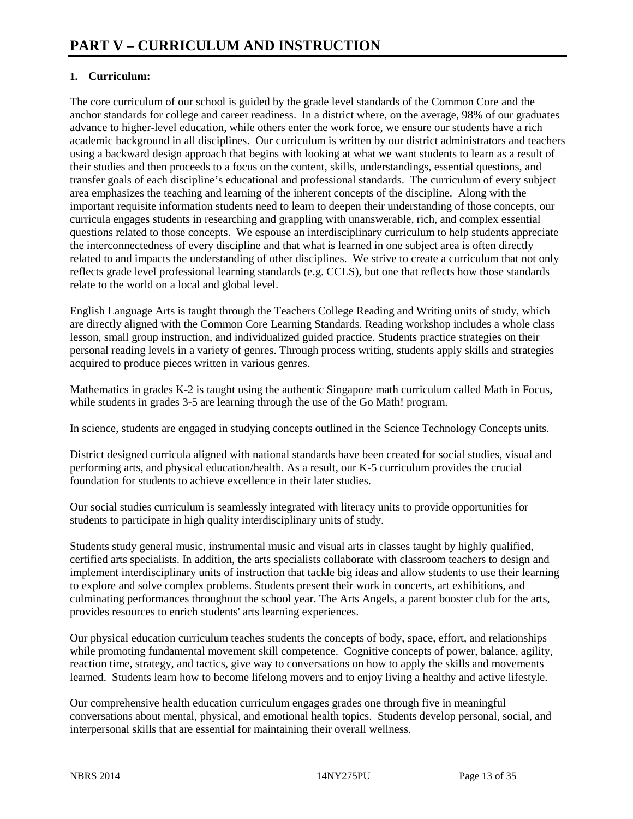### **1. Curriculum:**

The core curriculum of our school is guided by the grade level standards of the Common Core and the anchor standards for college and career readiness. In a district where, on the average, 98% of our graduates advance to higher-level education, while others enter the work force, we ensure our students have a rich academic background in all disciplines. Our curriculum is written by our district administrators and teachers using a backward design approach that begins with looking at what we want students to learn as a result of their studies and then proceeds to a focus on the content, skills, understandings, essential questions, and transfer goals of each discipline's educational and professional standards. The curriculum of every subject area emphasizes the teaching and learning of the inherent concepts of the discipline. Along with the important requisite information students need to learn to deepen their understanding of those concepts, our curricula engages students in researching and grappling with unanswerable, rich, and complex essential questions related to those concepts. We espouse an interdisciplinary curriculum to help students appreciate the interconnectedness of every discipline and that what is learned in one subject area is often directly related to and impacts the understanding of other disciplines. We strive to create a curriculum that not only reflects grade level professional learning standards (e.g. CCLS), but one that reflects how those standards relate to the world on a local and global level.

English Language Arts is taught through the Teachers College Reading and Writing units of study, which are directly aligned with the Common Core Learning Standards. Reading workshop includes a whole class lesson, small group instruction, and individualized guided practice. Students practice strategies on their personal reading levels in a variety of genres. Through process writing, students apply skills and strategies acquired to produce pieces written in various genres.

Mathematics in grades K-2 is taught using the authentic Singapore math curriculum called Math in Focus, while students in grades 3-5 are learning through the use of the Go Math! program.

In science, students are engaged in studying concepts outlined in the Science Technology Concepts units.

District designed curricula aligned with national standards have been created for social studies, visual and performing arts, and physical education/health. As a result, our K-5 curriculum provides the crucial foundation for students to achieve excellence in their later studies.

Our social studies curriculum is seamlessly integrated with literacy units to provide opportunities for students to participate in high quality interdisciplinary units of study.

Students study general music, instrumental music and visual arts in classes taught by highly qualified, certified arts specialists. In addition, the arts specialists collaborate with classroom teachers to design and implement interdisciplinary units of instruction that tackle big ideas and allow students to use their learning to explore and solve complex problems. Students present their work in concerts, art exhibitions, and culminating performances throughout the school year. The Arts Angels, a parent booster club for the arts, provides resources to enrich students' arts learning experiences.

Our physical education curriculum teaches students the concepts of body, space, effort, and relationships while promoting fundamental movement skill competence. Cognitive concepts of power, balance, agility, reaction time, strategy, and tactics, give way to conversations on how to apply the skills and movements learned. Students learn how to become lifelong movers and to enjoy living a healthy and active lifestyle.

Our comprehensive health education curriculum engages grades one through five in meaningful conversations about mental, physical, and emotional health topics. Students develop personal, social, and interpersonal skills that are essential for maintaining their overall wellness.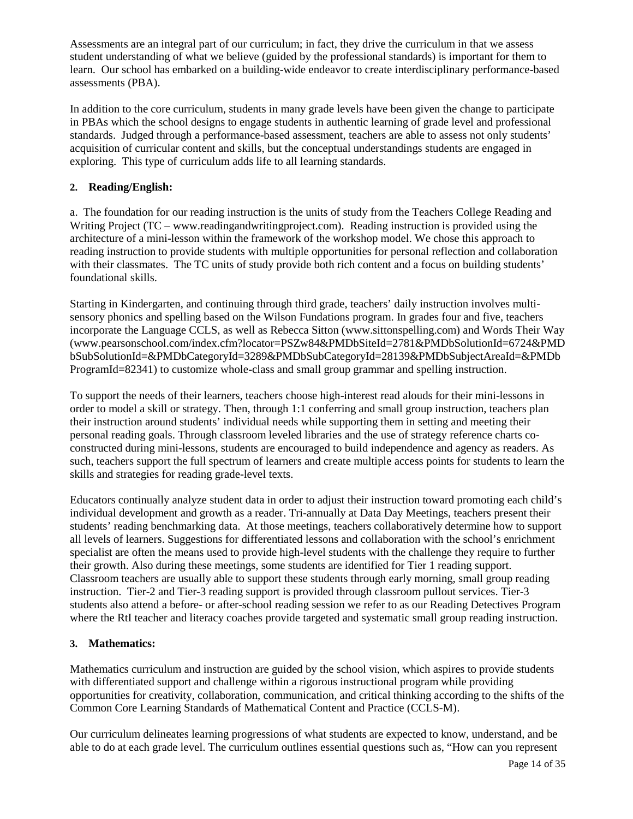Assessments are an integral part of our curriculum; in fact, they drive the curriculum in that we assess student understanding of what we believe (guided by the professional standards) is important for them to learn. Our school has embarked on a building-wide endeavor to create interdisciplinary performance-based assessments (PBA).

In addition to the core curriculum, students in many grade levels have been given the change to participate in PBAs which the school designs to engage students in authentic learning of grade level and professional standards. Judged through a performance-based assessment, teachers are able to assess not only students' acquisition of curricular content and skills, but the conceptual understandings students are engaged in exploring. This type of curriculum adds life to all learning standards.

### **2. Reading/English:**

a. The foundation for our reading instruction is the units of study from the Teachers College Reading and Writing Project (TC – www.readingandwritingproject.com). Reading instruction is provided using the architecture of a mini-lesson within the framework of the workshop model. We chose this approach to reading instruction to provide students with multiple opportunities for personal reflection and collaboration with their classmates. The TC units of study provide both rich content and a focus on building students' foundational skills.

Starting in Kindergarten, and continuing through third grade, teachers' daily instruction involves multisensory phonics and spelling based on the Wilson Fundations program. In grades four and five, teachers incorporate the Language CCLS, as well as Rebecca Sitton (www.sittonspelling.com) and Words Their Way (www.pearsonschool.com/index.cfm?locator=PSZw84&PMDbSiteId=2781&PMDbSolutionId=6724&PMD bSubSolutionId=&PMDbCategoryId=3289&PMDbSubCategoryId=28139&PMDbSubjectAreaId=&PMDb ProgramId=82341) to customize whole-class and small group grammar and spelling instruction.

To support the needs of their learners, teachers choose high-interest read alouds for their mini-lessons in order to model a skill or strategy. Then, through 1:1 conferring and small group instruction, teachers plan their instruction around students' individual needs while supporting them in setting and meeting their personal reading goals. Through classroom leveled libraries and the use of strategy reference charts coconstructed during mini-lessons, students are encouraged to build independence and agency as readers. As such, teachers support the full spectrum of learners and create multiple access points for students to learn the skills and strategies for reading grade-level texts.

Educators continually analyze student data in order to adjust their instruction toward promoting each child's individual development and growth as a reader. Tri-annually at Data Day Meetings, teachers present their students' reading benchmarking data. At those meetings, teachers collaboratively determine how to support all levels of learners. Suggestions for differentiated lessons and collaboration with the school's enrichment specialist are often the means used to provide high-level students with the challenge they require to further their growth. Also during these meetings, some students are identified for Tier 1 reading support. Classroom teachers are usually able to support these students through early morning, small group reading instruction. Tier-2 and Tier-3 reading support is provided through classroom pullout services. Tier-3 students also attend a before- or after-school reading session we refer to as our Reading Detectives Program where the RtI teacher and literacy coaches provide targeted and systematic small group reading instruction.

### **3. Mathematics:**

Mathematics curriculum and instruction are guided by the school vision, which aspires to provide students with differentiated support and challenge within a rigorous instructional program while providing opportunities for creativity, collaboration, communication, and critical thinking according to the shifts of the Common Core Learning Standards of Mathematical Content and Practice (CCLS-M).

Our curriculum delineates learning progressions of what students are expected to know, understand, and be able to do at each grade level. The curriculum outlines essential questions such as, "How can you represent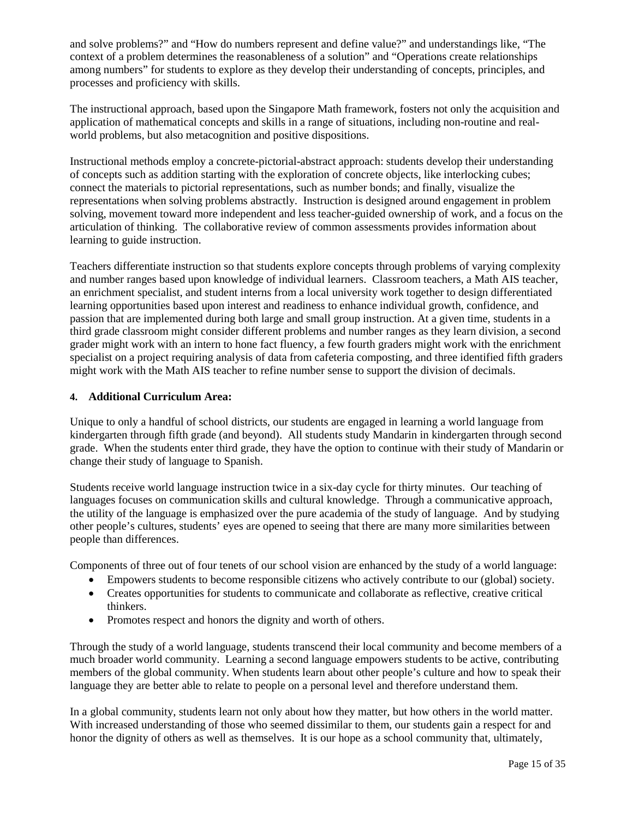and solve problems?" and "How do numbers represent and define value?" and understandings like, "The context of a problem determines the reasonableness of a solution" and "Operations create relationships among numbers" for students to explore as they develop their understanding of concepts, principles, and processes and proficiency with skills.

The instructional approach, based upon the Singapore Math framework, fosters not only the acquisition and application of mathematical concepts and skills in a range of situations, including non-routine and realworld problems, but also metacognition and positive dispositions.

Instructional methods employ a concrete-pictorial-abstract approach: students develop their understanding of concepts such as addition starting with the exploration of concrete objects, like interlocking cubes; connect the materials to pictorial representations, such as number bonds; and finally, visualize the representations when solving problems abstractly. Instruction is designed around engagement in problem solving, movement toward more independent and less teacher-guided ownership of work, and a focus on the articulation of thinking. The collaborative review of common assessments provides information about learning to guide instruction.

Teachers differentiate instruction so that students explore concepts through problems of varying complexity and number ranges based upon knowledge of individual learners. Classroom teachers, a Math AIS teacher, an enrichment specialist, and student interns from a local university work together to design differentiated learning opportunities based upon interest and readiness to enhance individual growth, confidence, and passion that are implemented during both large and small group instruction. At a given time, students in a third grade classroom might consider different problems and number ranges as they learn division, a second grader might work with an intern to hone fact fluency, a few fourth graders might work with the enrichment specialist on a project requiring analysis of data from cafeteria composting, and three identified fifth graders might work with the Math AIS teacher to refine number sense to support the division of decimals.

#### **4. Additional Curriculum Area:**

Unique to only a handful of school districts, our students are engaged in learning a world language from kindergarten through fifth grade (and beyond). All students study Mandarin in kindergarten through second grade. When the students enter third grade, they have the option to continue with their study of Mandarin or change their study of language to Spanish.

Students receive world language instruction twice in a six-day cycle for thirty minutes. Our teaching of languages focuses on communication skills and cultural knowledge. Through a communicative approach, the utility of the language is emphasized over the pure academia of the study of language. And by studying other people's cultures, students' eyes are opened to seeing that there are many more similarities between people than differences.

Components of three out of four tenets of our school vision are enhanced by the study of a world language:

- Empowers students to become responsible citizens who actively contribute to our (global) society.
- Creates opportunities for students to communicate and collaborate as reflective, creative critical thinkers.
- Promotes respect and honors the dignity and worth of others.

Through the study of a world language, students transcend their local community and become members of a much broader world community. Learning a second language empowers students to be active, contributing members of the global community. When students learn about other people's culture and how to speak their language they are better able to relate to people on a personal level and therefore understand them.

In a global community, students learn not only about how they matter, but how others in the world matter. With increased understanding of those who seemed dissimilar to them, our students gain a respect for and honor the dignity of others as well as themselves. It is our hope as a school community that, ultimately,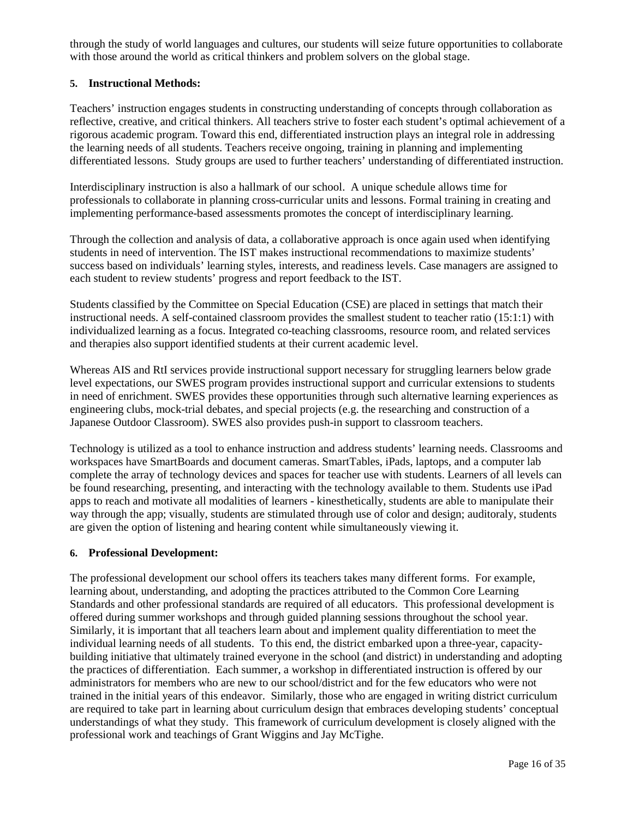through the study of world languages and cultures, our students will seize future opportunities to collaborate with those around the world as critical thinkers and problem solvers on the global stage.

#### **5. Instructional Methods:**

Teachers' instruction engages students in constructing understanding of concepts through collaboration as reflective, creative, and critical thinkers. All teachers strive to foster each student's optimal achievement of a rigorous academic program. Toward this end, differentiated instruction plays an integral role in addressing the learning needs of all students. Teachers receive ongoing, training in planning and implementing differentiated lessons. Study groups are used to further teachers' understanding of differentiated instruction.

Interdisciplinary instruction is also a hallmark of our school. A unique schedule allows time for professionals to collaborate in planning cross-curricular units and lessons. Formal training in creating and implementing performance-based assessments promotes the concept of interdisciplinary learning.

Through the collection and analysis of data, a collaborative approach is once again used when identifying students in need of intervention. The IST makes instructional recommendations to maximize students' success based on individuals' learning styles, interests, and readiness levels. Case managers are assigned to each student to review students' progress and report feedback to the IST.

Students classified by the Committee on Special Education (CSE) are placed in settings that match their instructional needs. A self-contained classroom provides the smallest student to teacher ratio (15:1:1) with individualized learning as a focus. Integrated co-teaching classrooms, resource room, and related services and therapies also support identified students at their current academic level.

Whereas AIS and RtI services provide instructional support necessary for struggling learners below grade level expectations, our SWES program provides instructional support and curricular extensions to students in need of enrichment. SWES provides these opportunities through such alternative learning experiences as engineering clubs, mock-trial debates, and special projects (e.g. the researching and construction of a Japanese Outdoor Classroom). SWES also provides push-in support to classroom teachers.

Technology is utilized as a tool to enhance instruction and address students' learning needs. Classrooms and workspaces have SmartBoards and document cameras. SmartTables, iPads, laptops, and a computer lab complete the array of technology devices and spaces for teacher use with students. Learners of all levels can be found researching, presenting, and interacting with the technology available to them. Students use iPad apps to reach and motivate all modalities of learners - kinesthetically, students are able to manipulate their way through the app; visually, students are stimulated through use of color and design; auditoraly, students are given the option of listening and hearing content while simultaneously viewing it.

#### **6. Professional Development:**

The professional development our school offers its teachers takes many different forms. For example, learning about, understanding, and adopting the practices attributed to the Common Core Learning Standards and other professional standards are required of all educators. This professional development is offered during summer workshops and through guided planning sessions throughout the school year. Similarly, it is important that all teachers learn about and implement quality differentiation to meet the individual learning needs of all students. To this end, the district embarked upon a three-year, capacitybuilding initiative that ultimately trained everyone in the school (and district) in understanding and adopting the practices of differentiation. Each summer, a workshop in differentiated instruction is offered by our administrators for members who are new to our school/district and for the few educators who were not trained in the initial years of this endeavor. Similarly, those who are engaged in writing district curriculum are required to take part in learning about curriculum design that embraces developing students' conceptual understandings of what they study. This framework of curriculum development is closely aligned with the professional work and teachings of Grant Wiggins and Jay McTighe.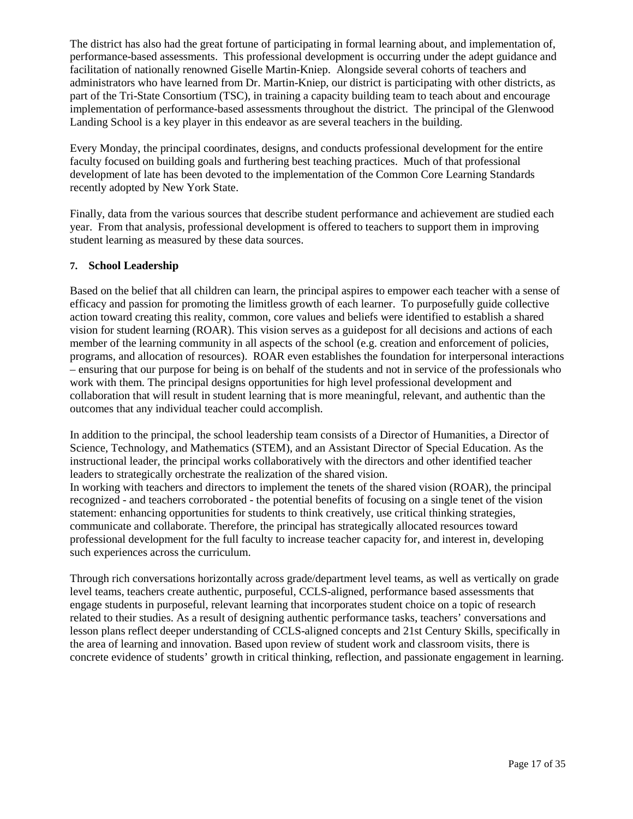The district has also had the great fortune of participating in formal learning about, and implementation of, performance-based assessments. This professional development is occurring under the adept guidance and facilitation of nationally renowned Giselle Martin-Kniep. Alongside several cohorts of teachers and administrators who have learned from Dr. Martin-Kniep, our district is participating with other districts, as part of the Tri-State Consortium (TSC), in training a capacity building team to teach about and encourage implementation of performance-based assessments throughout the district. The principal of the Glenwood Landing School is a key player in this endeavor as are several teachers in the building.

Every Monday, the principal coordinates, designs, and conducts professional development for the entire faculty focused on building goals and furthering best teaching practices. Much of that professional development of late has been devoted to the implementation of the Common Core Learning Standards recently adopted by New York State.

Finally, data from the various sources that describe student performance and achievement are studied each year. From that analysis, professional development is offered to teachers to support them in improving student learning as measured by these data sources.

#### **7. School Leadership**

Based on the belief that all children can learn, the principal aspires to empower each teacher with a sense of efficacy and passion for promoting the limitless growth of each learner. To purposefully guide collective action toward creating this reality, common, core values and beliefs were identified to establish a shared vision for student learning (ROAR). This vision serves as a guidepost for all decisions and actions of each member of the learning community in all aspects of the school (e.g. creation and enforcement of policies, programs, and allocation of resources). ROAR even establishes the foundation for interpersonal interactions – ensuring that our purpose for being is on behalf of the students and not in service of the professionals who work with them. The principal designs opportunities for high level professional development and collaboration that will result in student learning that is more meaningful, relevant, and authentic than the outcomes that any individual teacher could accomplish.

In addition to the principal, the school leadership team consists of a Director of Humanities, a Director of Science, Technology, and Mathematics (STEM), and an Assistant Director of Special Education. As the instructional leader, the principal works collaboratively with the directors and other identified teacher leaders to strategically orchestrate the realization of the shared vision.

In working with teachers and directors to implement the tenets of the shared vision (ROAR), the principal recognized - and teachers corroborated - the potential benefits of focusing on a single tenet of the vision statement: enhancing opportunities for students to think creatively, use critical thinking strategies, communicate and collaborate. Therefore, the principal has strategically allocated resources toward professional development for the full faculty to increase teacher capacity for, and interest in, developing such experiences across the curriculum.

Through rich conversations horizontally across grade/department level teams, as well as vertically on grade level teams, teachers create authentic, purposeful, CCLS-aligned, performance based assessments that engage students in purposeful, relevant learning that incorporates student choice on a topic of research related to their studies. As a result of designing authentic performance tasks, teachers' conversations and lesson plans reflect deeper understanding of CCLS-aligned concepts and 21st Century Skills, specifically in the area of learning and innovation. Based upon review of student work and classroom visits, there is concrete evidence of students' growth in critical thinking, reflection, and passionate engagement in learning.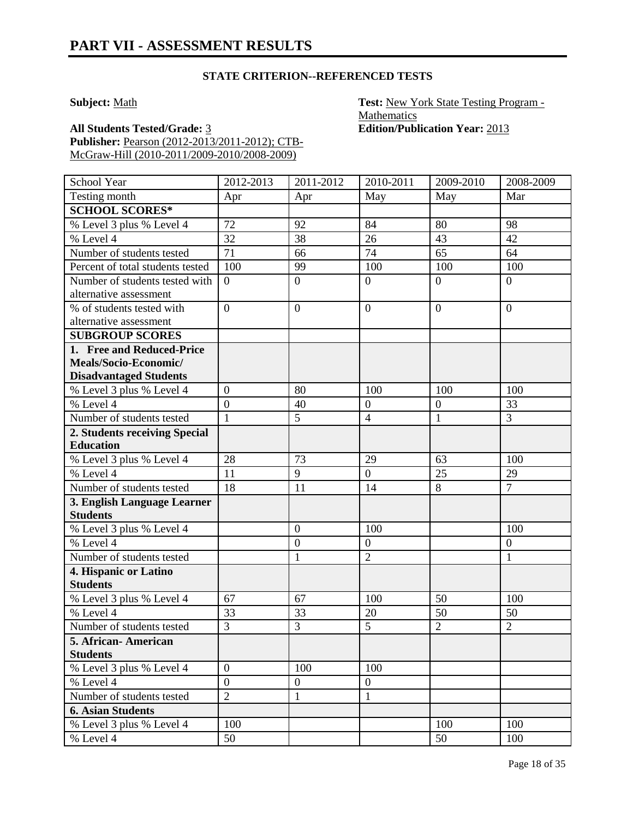#### **STATE CRITERION--REFERENCED TESTS**

**Subject:** Math **Test:** New York State Testing Program -**Mathematics** 

**All Students Tested/Grade:** 3 **Edition/Publication Year:** 2013 **Publisher:** Pearson (2012-2013/2011-2012); CTB-McGraw-Hill (2010-2011/2009-2010/2008-2009)

School Year 2012-2013 2011-2012 2010-2011 2009-2010 2008-2009 Testing month Apr Apr May May May Mar **SCHOOL SCORES\*** % Level 3 plus % Level 4 72 92 84 80 98 % Level 4 32 38 26 43 42 Number of students tested  $\begin{bmatrix} 71 & 66 \end{bmatrix}$  66  $\begin{bmatrix} 74 & 65 \end{bmatrix}$  64 Percent of total students tested | 100 | 99 | 100 | 100 | 100 | 100 Number of students tested with alternative assessment  $0 \qquad \qquad 0 \qquad \qquad 0 \qquad \qquad 0$ % of students tested with alternative assessment  $0 \qquad \qquad 0 \qquad \qquad 0 \qquad \qquad 0$ **SUBGROUP SCORES 1. Free and Reduced-Price Meals/Socio-Economic/ Disadvantaged Students** % Level 3 plus % Level 4  $\begin{bmatrix} 0 \\ 0 \end{bmatrix}$  80 100 100 100 100 % Level 4 0  $\begin{vmatrix} 0 \\ 40 \end{vmatrix}$   $\begin{vmatrix} 40 \\ 0 \\ 0 \end{vmatrix}$   $\begin{vmatrix} 0 \\ 33 \\ 33 \end{vmatrix}$ Number of students tested  $\begin{array}{|c|c|c|c|c|c|c|c|} \hline 1 & 5 & 4 & 1 & 3 \\ \hline \end{array}$ **2. Students receiving Special Education** % Level 3 plus % Level 4 28 73 29 63 100 % Level 4 11 9 0 25 29 Number of students tested 18 11 14 8 7 **3. English Language Learner Students** % Level 3 plus % Level 4 0 100 100 100 100 % Level 4 0 0 0 Number of students tested  $\begin{vmatrix} 1 & 1 \\ 1 & 2 \end{vmatrix}$   $\begin{vmatrix} 2 & 1 \\ 1 & 2 \end{vmatrix}$ **4. Hispanic or Latino Students** % Level 3 plus % Level 4 67 67 100 50 100 % Level 4 33 3 3 4 20 50 50 Number of students tested  $\begin{array}{|c|c|c|c|c|c|c|c|c|} \hline 3 & 3 & 5 & 2 & 2 \ \hline \end{array}$ **5. African- American Students** % Level 3 plus % Level 4 0 100 100 100 % Level 4 0 0 0 0 0 Number of students tested 2 1 1 1 **6. Asian Students** % Level 3 plus % Level 4 100 100 100 100 100 % Level 4  $\vert$  50  $\vert$  50  $\vert$  50  $\vert$  50  $\vert$  100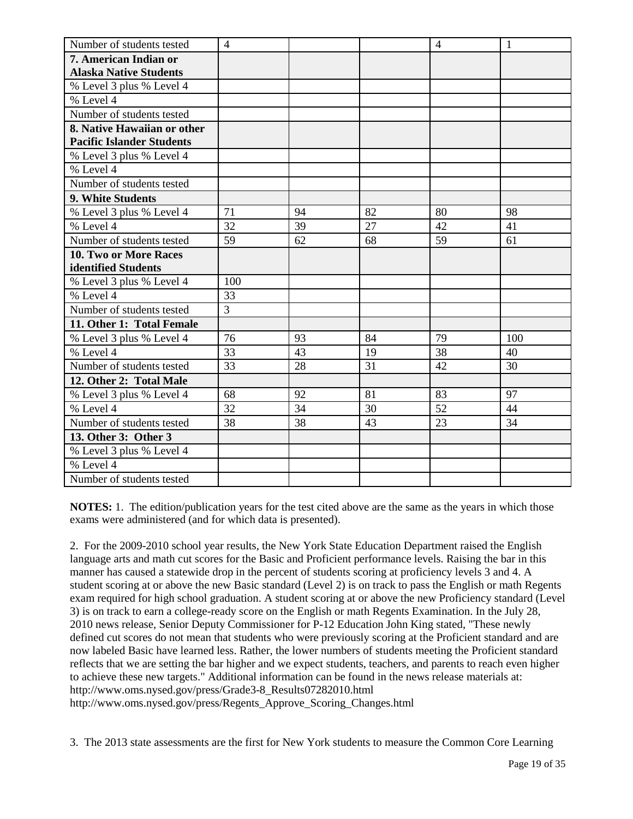| Number of students tested        | $\overline{4}$ |    |    | $\overline{4}$ | $\mathbf{1}$ |
|----------------------------------|----------------|----|----|----------------|--------------|
| 7. American Indian or            |                |    |    |                |              |
| <b>Alaska Native Students</b>    |                |    |    |                |              |
| % Level 3 plus % Level 4         |                |    |    |                |              |
| % Level 4                        |                |    |    |                |              |
| Number of students tested        |                |    |    |                |              |
| 8. Native Hawaiian or other      |                |    |    |                |              |
| <b>Pacific Islander Students</b> |                |    |    |                |              |
| % Level 3 plus % Level 4         |                |    |    |                |              |
| % Level 4                        |                |    |    |                |              |
| Number of students tested        |                |    |    |                |              |
| 9. White Students                |                |    |    |                |              |
| % Level 3 plus % Level 4         | 71             | 94 | 82 | 80             | 98           |
| % Level 4                        | 32             | 39 | 27 | 42             | 41           |
| Number of students tested        | 59             | 62 | 68 | 59             | 61           |
| <b>10. Two or More Races</b>     |                |    |    |                |              |
| identified Students              |                |    |    |                |              |
| % Level 3 plus % Level 4         | 100            |    |    |                |              |
| % Level 4                        | 33             |    |    |                |              |
| Number of students tested        | 3              |    |    |                |              |
| 11. Other 1: Total Female        |                |    |    |                |              |
| % Level 3 plus % Level 4         | 76             | 93 | 84 | 79             | 100          |
| % Level 4                        | 33             | 43 | 19 | 38             | 40           |
| Number of students tested        | 33             | 28 | 31 | 42             | 30           |
| 12. Other 2: Total Male          |                |    |    |                |              |
| % Level 3 plus % Level 4         | 68             | 92 | 81 | 83             | 97           |
| % Level 4                        | 32             | 34 | 30 | 52             | 44           |
| Number of students tested        | 38             | 38 | 43 | 23             | 34           |
| 13. Other 3: Other 3             |                |    |    |                |              |
| % Level 3 plus % Level 4         |                |    |    |                |              |
| % Level 4                        |                |    |    |                |              |
| Number of students tested        |                |    |    |                |              |

**NOTES:** 1. The edition/publication years for the test cited above are the same as the years in which those exams were administered (and for which data is presented).

2. For the 2009-2010 school year results, the New York State Education Department raised the English language arts and math cut scores for the Basic and Proficient performance levels. Raising the bar in this manner has caused a statewide drop in the percent of students scoring at proficiency levels 3 and 4. A student scoring at or above the new Basic standard (Level 2) is on track to pass the English or math Regents exam required for high school graduation. A student scoring at or above the new Proficiency standard (Level 3) is on track to earn a college-ready score on the English or math Regents Examination. In the July 28, 2010 news release, Senior Deputy Commissioner for P-12 Education John King stated, "These newly defined cut scores do not mean that students who were previously scoring at the Proficient standard and are now labeled Basic have learned less. Rather, the lower numbers of students meeting the Proficient standard reflects that we are setting the bar higher and we expect students, teachers, and parents to reach even higher to achieve these new targets." Additional information can be found in the news release materials at: http://www.oms.nysed.gov/press/Grade3-8\_Results07282010.html http://www.oms.nysed.gov/press/Regents\_Approve\_Scoring\_Changes.html

3. The 2013 state assessments are the first for New York students to measure the Common Core Learning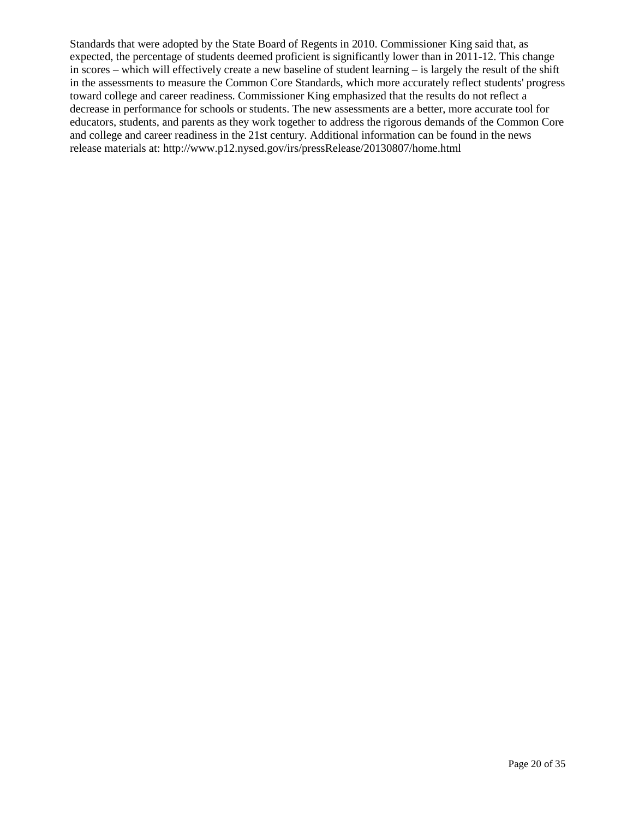Standards that were adopted by the State Board of Regents in 2010. Commissioner King said that, as expected, the percentage of students deemed proficient is significantly lower than in 2011-12. This change in scores – which will effectively create a new baseline of student learning – is largely the result of the shift in the assessments to measure the Common Core Standards, which more accurately reflect students' progress toward college and career readiness. Commissioner King emphasized that the results do not reflect a decrease in performance for schools or students. The new assessments are a better, more accurate tool for educators, students, and parents as they work together to address the rigorous demands of the Common Core and college and career readiness in the 21st century. Additional information can be found in the news release materials at: http://www.p12.nysed.gov/irs/pressRelease/20130807/home.html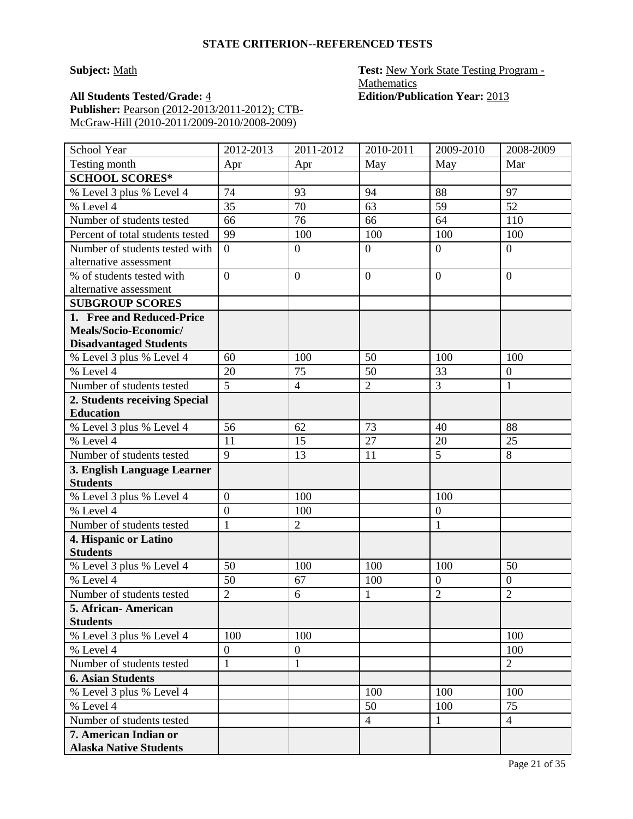#### **STATE CRITERION--REFERENCED TESTS**

**Subject:** Math **Test:** New York State Testing Program -**Mathematics** 

**All Students Tested/Grade:** 4 **Edition/Publication Year:** 2013 **Publisher:** Pearson (2012-2013/2011-2012); CTB-McGraw-Hill (2010-2011/2009-2010/2008-2009)

| School Year                              | 2012-2013      | 2011-2012             | 2010-2011      | 2009-2010        | 2008-2009        |
|------------------------------------------|----------------|-----------------------|----------------|------------------|------------------|
| Testing month                            | Apr            | Apr                   | May            | May              | Mar              |
| <b>SCHOOL SCORES*</b>                    |                |                       |                |                  |                  |
| % Level 3 plus % Level 4                 | 74             | 93                    | 94             | 88               | 97               |
| % Level 4                                | 35             | 70                    | 63             | 59               | 52               |
| Number of students tested                | 66             | 76                    | 66             | 64               | 110              |
| Percent of total students tested         | 99             | 100                   | 100            | 100              | 100              |
| Number of students tested with           | $\overline{0}$ | $\overline{0}$        | $\overline{0}$ | $\overline{0}$   | $\overline{0}$   |
| alternative assessment                   |                |                       |                |                  |                  |
| % of students tested with                | $\overline{0}$ | $\overline{0}$        | $\overline{0}$ | $\overline{0}$   | $\overline{0}$   |
| alternative assessment                   |                |                       |                |                  |                  |
| <b>SUBGROUP SCORES</b>                   |                |                       |                |                  |                  |
| 1. Free and Reduced-Price                |                |                       |                |                  |                  |
| Meals/Socio-Economic/                    |                |                       |                |                  |                  |
| <b>Disadvantaged Students</b>            |                |                       |                |                  |                  |
| % Level 3 plus % Level 4                 | 60             | 100                   | 50             | 100              | 100              |
| % Level $4$                              | 20             | 75                    | 50             | 33               | $\mathbf{0}$     |
| Number of students tested                | $\overline{5}$ | $\overline{4}$        | $\overline{2}$ | $\overline{3}$   | 1                |
| 2. Students receiving Special            |                |                       |                |                  |                  |
| <b>Education</b>                         |                |                       |                |                  |                  |
| % Level 3 plus % Level 4                 | 56             | 62                    | 73             | 40               | 88               |
| % Level 4                                | 11             | 15                    | 27             | 20               | 25               |
| Number of students tested                | 9              | 13                    | 11             | 5                | 8                |
| 3. English Language Learner              |                |                       |                |                  |                  |
| <b>Students</b>                          | $\overline{0}$ | 100                   |                | 100              |                  |
| % Level 3 plus % Level 4<br>% Level 4    | $\overline{0}$ |                       |                | $\boldsymbol{0}$ |                  |
| Number of students tested                | $\mathbf{1}$   | 100<br>$\overline{2}$ |                | $\mathbf{1}$     |                  |
|                                          |                |                       |                |                  |                  |
| 4. Hispanic or Latino<br><b>Students</b> |                |                       |                |                  |                  |
| % Level 3 plus % Level 4                 | 50             | 100                   | 100            | 100              | 50               |
| % Level 4                                | 50             | 67                    | 100            | $\boldsymbol{0}$ | $\boldsymbol{0}$ |
| Number of students tested                | $\overline{2}$ | 6                     | $\mathbf{1}$   | $\overline{2}$   | $\overline{2}$   |
| 5. African-American                      |                |                       |                |                  |                  |
| <b>Students</b>                          |                |                       |                |                  |                  |
| % Level 3 plus % Level 4                 | 100            | 100                   |                |                  | 100              |
| % Level 4                                | $\overline{0}$ | $\boldsymbol{0}$      |                |                  | 100              |
| Number of students tested                | $\mathbf{1}$   | $\mathbf{1}$          |                |                  | $\overline{2}$   |
| <b>6. Asian Students</b>                 |                |                       |                |                  |                  |
| % Level 3 plus % Level 4                 |                |                       | 100            | 100              | 100              |
| % Level 4                                |                |                       | 50             | 100              | 75               |
| Number of students tested                |                |                       | $\overline{4}$ | $\mathbf{1}$     | $\overline{4}$   |
| 7. American Indian or                    |                |                       |                |                  |                  |
| <b>Alaska Native Students</b>            |                |                       |                |                  |                  |
|                                          |                |                       |                |                  |                  |

Page 21 of 35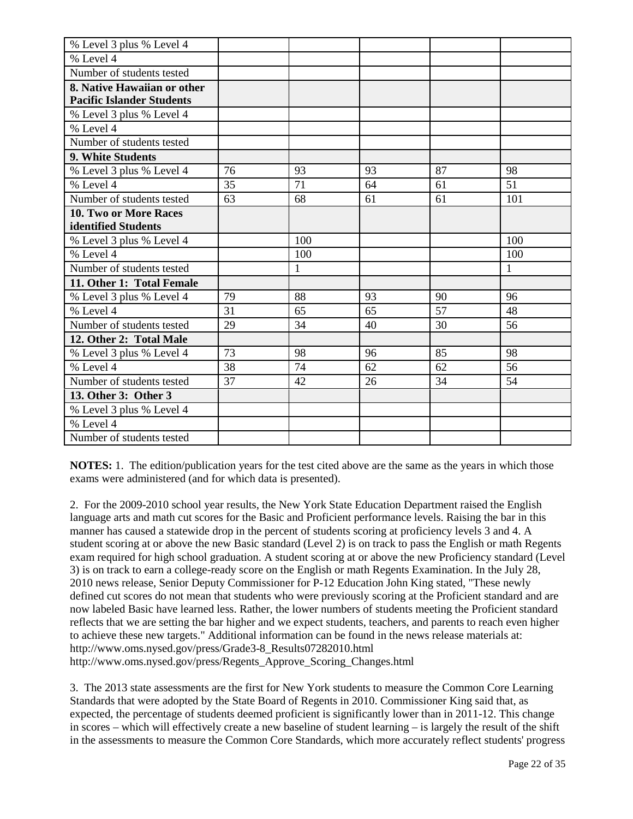| % Level 3 plus % Level 4         |    |              |    |    |     |
|----------------------------------|----|--------------|----|----|-----|
| % Level 4                        |    |              |    |    |     |
| Number of students tested        |    |              |    |    |     |
| 8. Native Hawaiian or other      |    |              |    |    |     |
| <b>Pacific Islander Students</b> |    |              |    |    |     |
| % Level 3 plus % Level 4         |    |              |    |    |     |
| % Level 4                        |    |              |    |    |     |
| Number of students tested        |    |              |    |    |     |
| 9. White Students                |    |              |    |    |     |
| % Level 3 plus % Level 4         | 76 | 93           | 93 | 87 | 98  |
| % Level 4                        | 35 | 71           | 64 | 61 | 51  |
| Number of students tested        | 63 | 68           | 61 | 61 | 101 |
| 10. Two or More Races            |    |              |    |    |     |
| identified Students              |    |              |    |    |     |
| % Level 3 plus % Level 4         |    | 100          |    |    | 100 |
| % Level 4                        |    | 100          |    |    | 100 |
| Number of students tested        |    | $\mathbf{1}$ |    |    | 1   |
| 11. Other 1: Total Female        |    |              |    |    |     |
| % Level 3 plus % Level 4         | 79 | 88           | 93 | 90 | 96  |
| % Level 4                        | 31 | 65           | 65 | 57 | 48  |
| Number of students tested        | 29 | 34           | 40 | 30 | 56  |
| 12. Other 2: Total Male          |    |              |    |    |     |
| % Level 3 plus % Level 4         | 73 | 98           | 96 | 85 | 98  |
| % Level 4                        | 38 | 74           | 62 | 62 | 56  |
| Number of students tested        | 37 | 42           | 26 | 34 | 54  |
| 13. Other 3: Other 3             |    |              |    |    |     |
| % Level 3 plus % Level 4         |    |              |    |    |     |
| % Level 4                        |    |              |    |    |     |
| Number of students tested        |    |              |    |    |     |

**NOTES:** 1. The edition/publication years for the test cited above are the same as the years in which those exams were administered (and for which data is presented).

2. For the 2009-2010 school year results, the New York State Education Department raised the English language arts and math cut scores for the Basic and Proficient performance levels. Raising the bar in this manner has caused a statewide drop in the percent of students scoring at proficiency levels 3 and 4. A student scoring at or above the new Basic standard (Level 2) is on track to pass the English or math Regents exam required for high school graduation. A student scoring at or above the new Proficiency standard (Level 3) is on track to earn a college-ready score on the English or math Regents Examination. In the July 28, 2010 news release, Senior Deputy Commissioner for P-12 Education John King stated, "These newly defined cut scores do not mean that students who were previously scoring at the Proficient standard and are now labeled Basic have learned less. Rather, the lower numbers of students meeting the Proficient standard reflects that we are setting the bar higher and we expect students, teachers, and parents to reach even higher to achieve these new targets." Additional information can be found in the news release materials at: http://www.oms.nysed.gov/press/Grade3-8\_Results07282010.html http://www.oms.nysed.gov/press/Regents\_Approve\_Scoring\_Changes.html

3. The 2013 state assessments are the first for New York students to measure the Common Core Learning Standards that were adopted by the State Board of Regents in 2010. Commissioner King said that, as expected, the percentage of students deemed proficient is significantly lower than in 2011-12. This change in scores – which will effectively create a new baseline of student learning – is largely the result of the shift in the assessments to measure the Common Core Standards, which more accurately reflect students' progress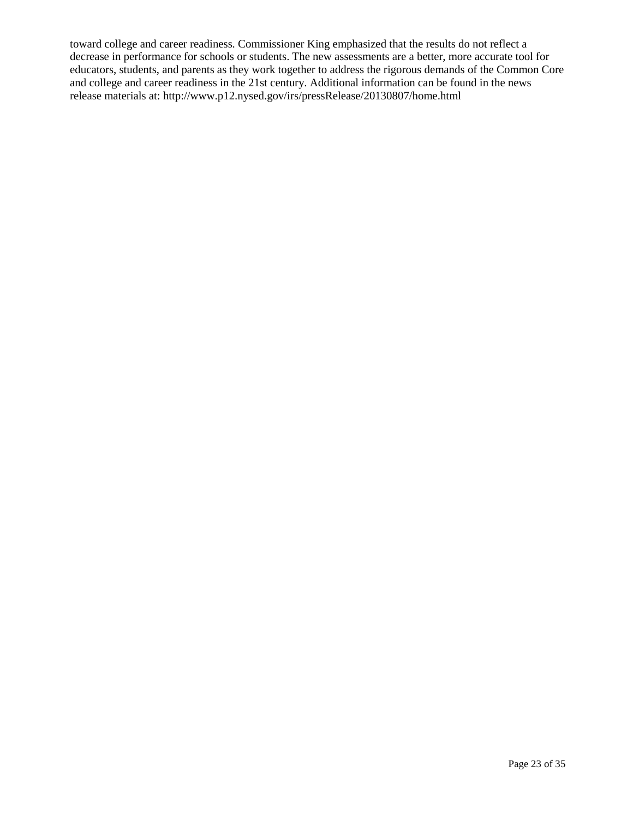toward college and career readiness. Commissioner King emphasized that the results do not reflect a decrease in performance for schools or students. The new assessments are a better, more accurate tool for educators, students, and parents as they work together to address the rigorous demands of the Common Core and college and career readiness in the 21st century. Additional information can be found in the news release materials at: http://www.p12.nysed.gov/irs/pressRelease/20130807/home.html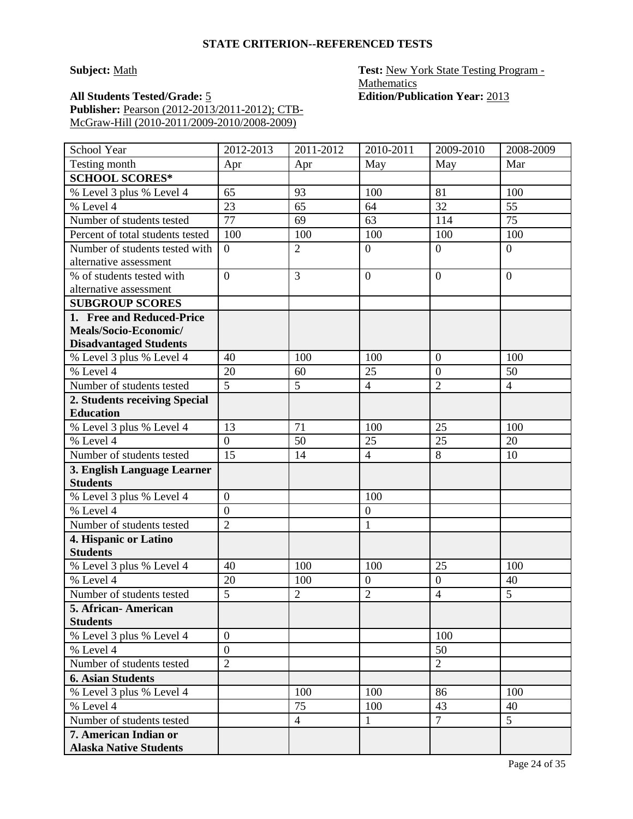#### **STATE CRITERION--REFERENCED TESTS**

**Subject:** Math **Test:** New York State Testing Program -**Mathematics** 

**All Students Tested/Grade:** 5 **Edition/Publication Year:** 2013 **Publisher:** Pearson (2012-2013/2011-2012); CTB-McGraw-Hill (2010-2011/2009-2010/2008-2009)

| School Year                      | 2012-2013      | 2011-2012      | 2010-2011        | 2009-2010        | 2008-2009      |
|----------------------------------|----------------|----------------|------------------|------------------|----------------|
| Testing month                    | Apr            | Apr            | May              | May              | Mar            |
| <b>SCHOOL SCORES*</b>            |                |                |                  |                  |                |
| % Level 3 plus % Level 4         | 65             | 93             | 100              | 81               | 100            |
| % Level 4                        | 23             | 65             | 64               | 32               | 55             |
| Number of students tested        | 77             | 69             | 63               | 114              | 75             |
| Percent of total students tested | 100            | 100            | 100              | 100              | 100            |
| Number of students tested with   | $\theta$       | $\overline{2}$ | $\boldsymbol{0}$ | $\overline{0}$   | $\overline{0}$ |
| alternative assessment           |                |                |                  |                  |                |
| % of students tested with        | $\overline{0}$ | 3              | $\overline{0}$   | $\overline{0}$   | $\overline{0}$ |
| alternative assessment           |                |                |                  |                  |                |
| <b>SUBGROUP SCORES</b>           |                |                |                  |                  |                |
| 1. Free and Reduced-Price        |                |                |                  |                  |                |
| Meals/Socio-Economic/            |                |                |                  |                  |                |
| <b>Disadvantaged Students</b>    |                |                |                  |                  |                |
| % Level 3 plus % Level 4         | 40             | 100            | 100              | $\mathbf{0}$     | 100            |
| % Level $4$                      | 20             | 60             | 25               | $\overline{0}$   | 50             |
| Number of students tested        | $\overline{5}$ | $\overline{5}$ | $\overline{4}$   | $\overline{2}$   | $\overline{4}$ |
| 2. Students receiving Special    |                |                |                  |                  |                |
| <b>Education</b>                 |                |                |                  |                  |                |
| % Level 3 plus % Level 4         | 13             | 71             | 100              | 25               | 100            |
| % Level 4                        | $\mathbf{0}$   | 50             | 25               | 25               | 20             |
| Number of students tested        | 15             | 14             | $\overline{4}$   | 8                | 10             |
| 3. English Language Learner      |                |                |                  |                  |                |
| <b>Students</b>                  |                |                |                  |                  |                |
| % Level 3 plus % Level 4         | $\overline{0}$ |                | 100              |                  |                |
| % Level 4                        | $\overline{0}$ |                | $\overline{0}$   |                  |                |
| Number of students tested        | $\overline{2}$ |                | $\mathbf{1}$     |                  |                |
| 4. Hispanic or Latino            |                |                |                  |                  |                |
| <b>Students</b>                  |                |                |                  |                  |                |
| % Level 3 plus % Level 4         | 40             | 100            | 100              | 25               | 100            |
| % Level 4                        | 20             | 100            | $\overline{0}$   | $\boldsymbol{0}$ | 40             |
| Number of students tested        | 5              | $\overline{2}$ | $\overline{2}$   | $\overline{4}$   | 5              |
| 5. African- American             |                |                |                  |                  |                |
| <b>Students</b>                  |                |                |                  |                  |                |
| % Level 3 plus % Level 4         | $\theta$       |                |                  | 100              |                |
| % Level $\overline{4}$           | $\overline{0}$ |                |                  | 50               |                |
| Number of students tested        | $\overline{2}$ |                |                  | $\overline{2}$   |                |
| <b>6. Asian Students</b>         |                |                |                  |                  |                |
| % Level 3 plus % Level 4         |                | 100            | 100              | 86               | 100            |
| % Level 4                        |                | 75             | 100              | 43               | 40             |
| Number of students tested        |                | $\overline{4}$ | $\mathbf{1}$     | $\overline{7}$   | 5 <sup>5</sup> |
| 7. American Indian or            |                |                |                  |                  |                |
| <b>Alaska Native Students</b>    |                |                |                  |                  |                |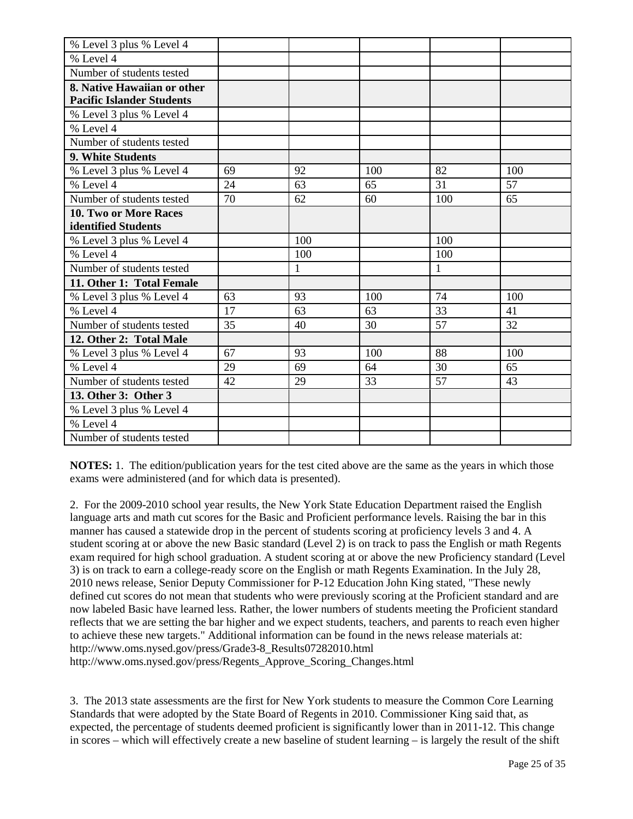| % Level 3 plus % Level 4         |    |     |     |     |     |
|----------------------------------|----|-----|-----|-----|-----|
| % Level 4                        |    |     |     |     |     |
| Number of students tested        |    |     |     |     |     |
| 8. Native Hawaiian or other      |    |     |     |     |     |
| <b>Pacific Islander Students</b> |    |     |     |     |     |
| % Level 3 plus % Level 4         |    |     |     |     |     |
| % Level 4                        |    |     |     |     |     |
| Number of students tested        |    |     |     |     |     |
| 9. White Students                |    |     |     |     |     |
| % Level 3 plus % Level 4         | 69 | 92  | 100 | 82  | 100 |
| % Level 4                        | 24 | 63  | 65  | 31  | 57  |
| Number of students tested        | 70 | 62  | 60  | 100 | 65  |
| <b>10. Two or More Races</b>     |    |     |     |     |     |
| identified Students              |    |     |     |     |     |
| % Level 3 plus % Level 4         |    | 100 |     | 100 |     |
| % Level 4                        |    | 100 |     | 100 |     |
| Number of students tested        |    | 1   |     | 1   |     |
| 11. Other 1: Total Female        |    |     |     |     |     |
| % Level 3 plus % Level 4         | 63 | 93  | 100 | 74  | 100 |
| % Level 4                        | 17 | 63  | 63  | 33  | 41  |
| Number of students tested        | 35 | 40  | 30  | 57  | 32  |
| 12. Other 2: Total Male          |    |     |     |     |     |
| % Level 3 plus % Level 4         | 67 | 93  | 100 | 88  | 100 |
| % Level 4                        | 29 | 69  | 64  | 30  | 65  |
| Number of students tested        | 42 | 29  | 33  | 57  | 43  |
| 13. Other 3: Other 3             |    |     |     |     |     |
| % Level 3 plus % Level 4         |    |     |     |     |     |
| % Level 4                        |    |     |     |     |     |
| Number of students tested        |    |     |     |     |     |

**NOTES:** 1. The edition/publication years for the test cited above are the same as the years in which those exams were administered (and for which data is presented).

2. For the 2009-2010 school year results, the New York State Education Department raised the English language arts and math cut scores for the Basic and Proficient performance levels. Raising the bar in this manner has caused a statewide drop in the percent of students scoring at proficiency levels 3 and 4. A student scoring at or above the new Basic standard (Level 2) is on track to pass the English or math Regents exam required for high school graduation. A student scoring at or above the new Proficiency standard (Level 3) is on track to earn a college-ready score on the English or math Regents Examination. In the July 28, 2010 news release, Senior Deputy Commissioner for P-12 Education John King stated, "These newly defined cut scores do not mean that students who were previously scoring at the Proficient standard and are now labeled Basic have learned less. Rather, the lower numbers of students meeting the Proficient standard reflects that we are setting the bar higher and we expect students, teachers, and parents to reach even higher to achieve these new targets." Additional information can be found in the news release materials at: http://www.oms.nysed.gov/press/Grade3-8\_Results07282010.html http://www.oms.nysed.gov/press/Regents\_Approve\_Scoring\_Changes.html

3. The 2013 state assessments are the first for New York students to measure the Common Core Learning Standards that were adopted by the State Board of Regents in 2010. Commissioner King said that, as expected, the percentage of students deemed proficient is significantly lower than in 2011-12. This change in scores – which will effectively create a new baseline of student learning – is largely the result of the shift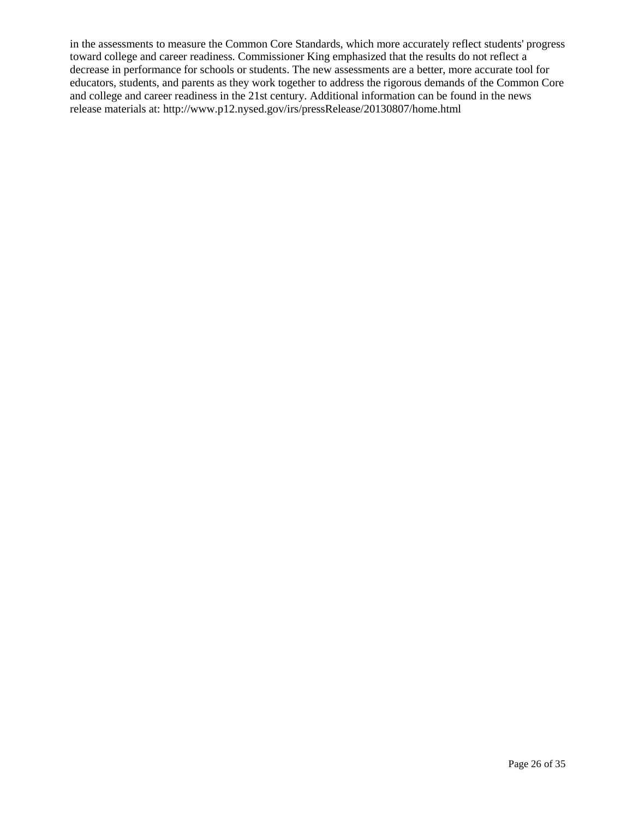in the assessments to measure the Common Core Standards, which more accurately reflect students' progress toward college and career readiness. Commissioner King emphasized that the results do not reflect a decrease in performance for schools or students. The new assessments are a better, more accurate tool for educators, students, and parents as they work together to address the rigorous demands of the Common Core and college and career readiness in the 21st century. Additional information can be found in the news release materials at: http://www.p12.nysed.gov/irs/pressRelease/20130807/home.html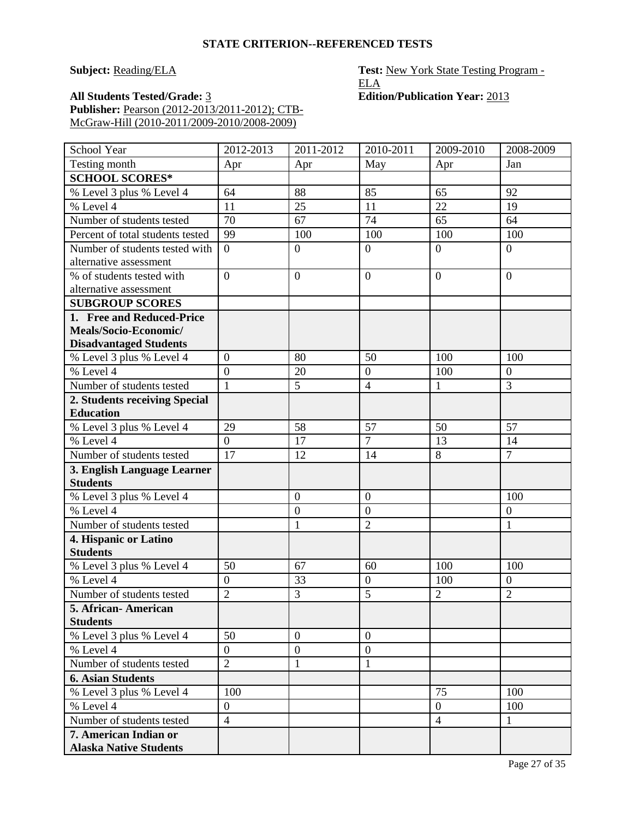**Subject: Reading/ELA Test: New York State Testing Program -ELA**<br>**Edition/Publication Year:** 2013

**All Students Tested/Grade: 3 Publisher:** Pearson (2012-2013/2011-2012); CTB-McGraw-Hill (2010-2011/2009-2010/2008-2009)

| School Year                                    | 2012-2013      | 2011-2012        | 2010-2011        | 2009-2010      | 2008-2009        |
|------------------------------------------------|----------------|------------------|------------------|----------------|------------------|
| Testing month                                  | Apr            | Apr              | May              | Apr            | Jan              |
| <b>SCHOOL SCORES*</b>                          |                |                  |                  |                |                  |
| % Level 3 plus % Level 4                       | 64             | 88               | 85               | 65             | 92               |
| % Level 4                                      | 11             | 25               | 11               | 22             | 19               |
| Number of students tested                      | 70             | 67               | 74               | 65             | 64               |
| Percent of total students tested               | 99             | 100              | 100              | 100            | 100              |
| Number of students tested with                 | $\overline{0}$ | $\boldsymbol{0}$ | $\overline{0}$   | $\overline{0}$ | $\overline{0}$   |
| alternative assessment                         |                |                  |                  |                |                  |
| % of students tested with                      | $\overline{0}$ | $\boldsymbol{0}$ | $\overline{0}$   | $\overline{0}$ | $\overline{0}$   |
| alternative assessment                         |                |                  |                  |                |                  |
| <b>SUBGROUP SCORES</b>                         |                |                  |                  |                |                  |
| 1. Free and Reduced-Price                      |                |                  |                  |                |                  |
| Meals/Socio-Economic/                          |                |                  |                  |                |                  |
| <b>Disadvantaged Students</b>                  |                |                  |                  |                |                  |
| % Level 3 plus % Level 4                       | $\overline{0}$ | 80               | 50               | 100            | 100              |
| % Level 4                                      | $\overline{0}$ | 20               | $\boldsymbol{0}$ | 100            | $\boldsymbol{0}$ |
| Number of students tested                      | $\mathbf{1}$   | 5                | $\overline{4}$   | $\mathbf{1}$   | $\overline{3}$   |
| 2. Students receiving Special                  |                |                  |                  |                |                  |
| <b>Education</b>                               |                |                  |                  |                |                  |
| % Level 3 plus % Level 4                       | 29             | 58               | 57               | 50             | 57               |
| % Level 4                                      | $\overline{0}$ | 17               | $\overline{7}$   | 13             | 14               |
| Number of students tested                      | 17             | 12               | 14               | 8              | $\overline{7}$   |
| 3. English Language Learner<br><b>Students</b> |                |                  |                  |                |                  |
| % Level 3 plus % Level 4                       |                | $\boldsymbol{0}$ | $\boldsymbol{0}$ |                | 100              |
| % Level 4                                      |                | $\boldsymbol{0}$ | $\boldsymbol{0}$ |                | $\mathbf{0}$     |
| Number of students tested                      |                | $\mathbf{1}$     | $\overline{2}$   |                | $\mathbf{1}$     |
| 4. Hispanic or Latino                          |                |                  |                  |                |                  |
| <b>Students</b>                                |                |                  |                  |                |                  |
| % Level 3 plus % Level 4                       | 50             | 67               | 60               | 100            | 100              |
| % Level 4                                      | $\overline{0}$ | 33               | $\boldsymbol{0}$ | 100            | $\boldsymbol{0}$ |
| Number of students tested                      | $\overline{2}$ | $\overline{3}$   | $\overline{5}$   | $\overline{2}$ | $\overline{2}$   |
| 5. African- American                           |                |                  |                  |                |                  |
| <b>Students</b>                                |                |                  |                  |                |                  |
| % Level 3 plus % Level 4                       | 50             | $\overline{0}$   | $\overline{0}$   |                |                  |
| % Level 4                                      | $\overline{0}$ | $\boldsymbol{0}$ | $\boldsymbol{0}$ |                |                  |
| Number of students tested                      | $\overline{2}$ | 1                | 1                |                |                  |
| <b>6. Asian Students</b>                       |                |                  |                  |                |                  |
| % Level 3 plus % Level 4                       | 100            |                  |                  | 75             | 100              |
| % Level 4                                      | $\overline{0}$ |                  |                  | $\overline{0}$ | 100              |
| Number of students tested                      | $\overline{4}$ |                  |                  | $\overline{4}$ | 1                |
| 7. American Indian or                          |                |                  |                  |                |                  |
| <b>Alaska Native Students</b>                  |                |                  |                  |                |                  |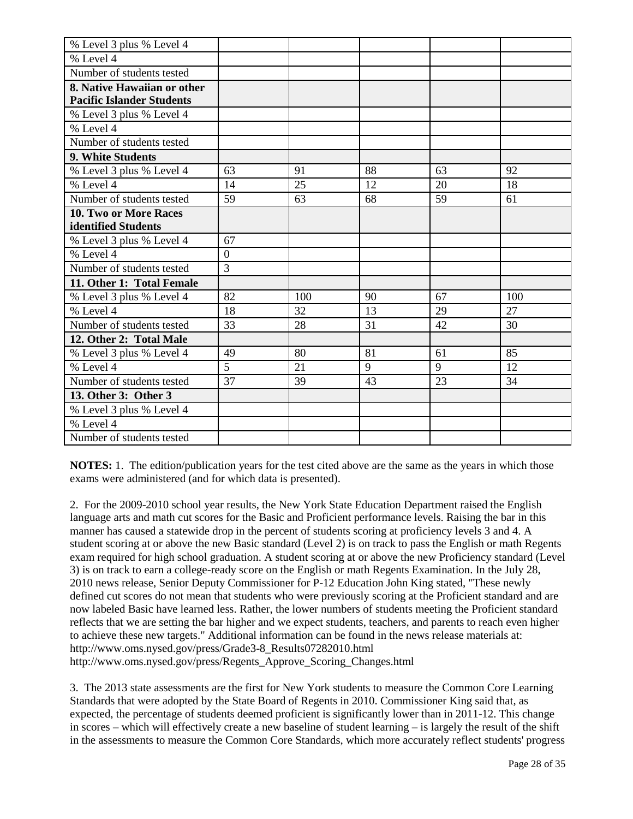| % Level 3 plus % Level 4         |                |     |    |    |     |
|----------------------------------|----------------|-----|----|----|-----|
| % Level 4                        |                |     |    |    |     |
| Number of students tested        |                |     |    |    |     |
| 8. Native Hawaiian or other      |                |     |    |    |     |
| <b>Pacific Islander Students</b> |                |     |    |    |     |
| % Level 3 plus % Level 4         |                |     |    |    |     |
| % Level 4                        |                |     |    |    |     |
| Number of students tested        |                |     |    |    |     |
| 9. White Students                |                |     |    |    |     |
| % Level 3 plus % Level 4         | 63             | 91  | 88 | 63 | 92  |
| % Level 4                        | 14             | 25  | 12 | 20 | 18  |
| Number of students tested        | 59             | 63  | 68 | 59 | 61  |
| 10. Two or More Races            |                |     |    |    |     |
| identified Students              |                |     |    |    |     |
| % Level 3 plus % Level 4         | 67             |     |    |    |     |
| % Level 4                        | $\overline{0}$ |     |    |    |     |
| Number of students tested        | 3              |     |    |    |     |
| 11. Other 1: Total Female        |                |     |    |    |     |
| % Level 3 plus % Level 4         | 82             | 100 | 90 | 67 | 100 |
| % Level 4                        | 18             | 32  | 13 | 29 | 27  |
| Number of students tested        | 33             | 28  | 31 | 42 | 30  |
| 12. Other 2: Total Male          |                |     |    |    |     |
| % Level 3 plus % Level 4         | 49             | 80  | 81 | 61 | 85  |
| % Level 4                        | 5              | 21  | 9  | 9  | 12  |
| Number of students tested        | 37             | 39  | 43 | 23 | 34  |
| 13. Other 3: Other 3             |                |     |    |    |     |
| % Level 3 plus % Level 4         |                |     |    |    |     |
| % Level 4                        |                |     |    |    |     |
| Number of students tested        |                |     |    |    |     |

**NOTES:** 1. The edition/publication years for the test cited above are the same as the years in which those exams were administered (and for which data is presented).

2. For the 2009-2010 school year results, the New York State Education Department raised the English language arts and math cut scores for the Basic and Proficient performance levels. Raising the bar in this manner has caused a statewide drop in the percent of students scoring at proficiency levels 3 and 4. A student scoring at or above the new Basic standard (Level 2) is on track to pass the English or math Regents exam required for high school graduation. A student scoring at or above the new Proficiency standard (Level 3) is on track to earn a college-ready score on the English or math Regents Examination. In the July 28, 2010 news release, Senior Deputy Commissioner for P-12 Education John King stated, "These newly defined cut scores do not mean that students who were previously scoring at the Proficient standard and are now labeled Basic have learned less. Rather, the lower numbers of students meeting the Proficient standard reflects that we are setting the bar higher and we expect students, teachers, and parents to reach even higher to achieve these new targets." Additional information can be found in the news release materials at: http://www.oms.nysed.gov/press/Grade3-8\_Results07282010.html http://www.oms.nysed.gov/press/Regents\_Approve\_Scoring\_Changes.html

3. The 2013 state assessments are the first for New York students to measure the Common Core Learning Standards that were adopted by the State Board of Regents in 2010. Commissioner King said that, as expected, the percentage of students deemed proficient is significantly lower than in 2011-12. This change in scores – which will effectively create a new baseline of student learning – is largely the result of the shift in the assessments to measure the Common Core Standards, which more accurately reflect students' progress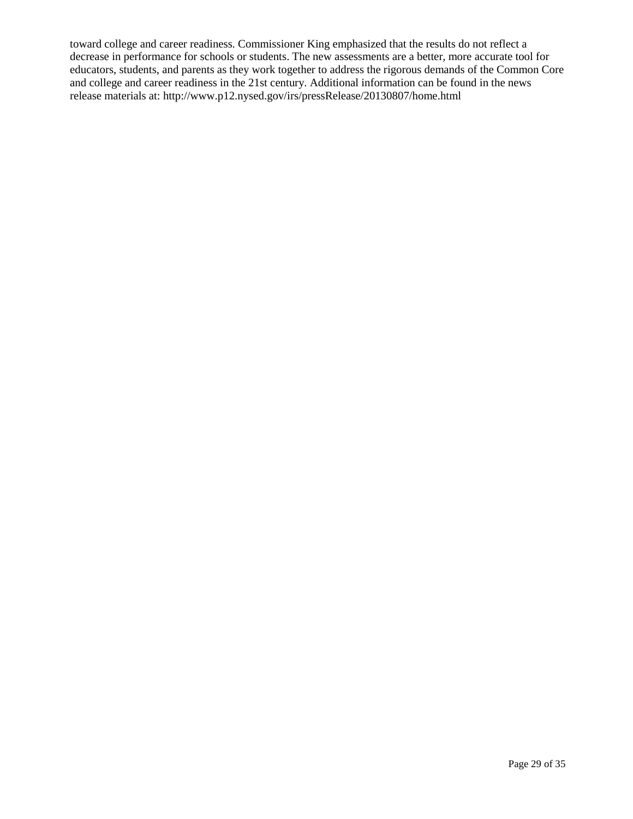toward college and career readiness. Commissioner King emphasized that the results do not reflect a decrease in performance for schools or students. The new assessments are a better, more accurate tool for educators, students, and parents as they work together to address the rigorous demands of the Common Core and college and career readiness in the 21st century. Additional information can be found in the news release materials at: http://www.p12.nysed.gov/irs/pressRelease/20130807/home.html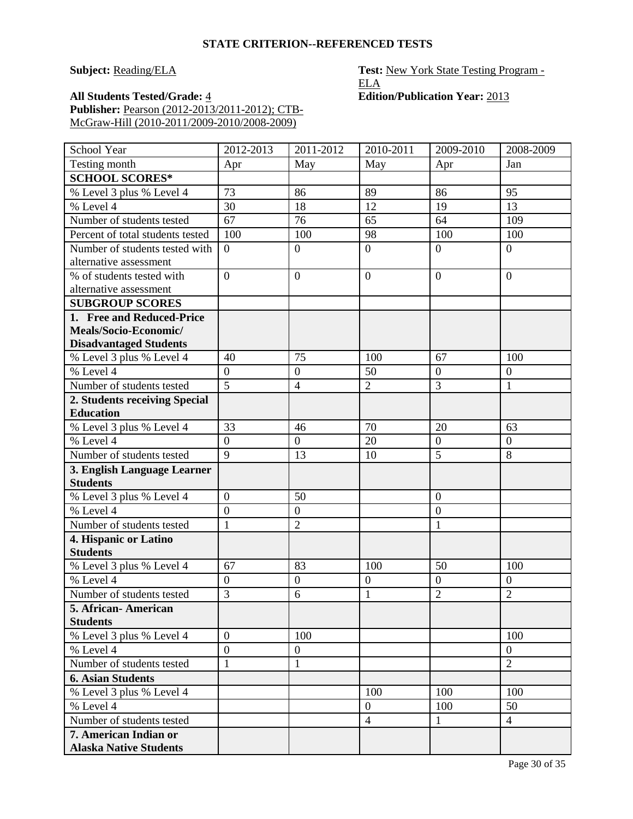**Subject: Reading/ELA Test: New York State Testing Program -**ELA

**All Students Tested/Grade:** 4 **Edition/Publication Year:** 2013 **Publisher:** Pearson (2012-2013/2011-2012); CTB-McGraw-Hill (2010-2011/2009-2010/2008-2009)

| Testing month<br>May<br>May<br>Apr<br>Jan<br>Apr<br><b>SCHOOL SCORES*</b><br>73<br>% Level 3 plus % Level 4<br>86<br>89<br>86<br>95<br>% Level 4<br>13<br>30<br>18<br>12<br>19<br>67<br>Number of students tested<br>76<br>65<br>64<br>109<br>98<br>100<br>Percent of total students tested<br>100<br>100<br>100<br>Number of students tested with<br>$\overline{0}$<br>$\overline{0}$<br>$\boldsymbol{0}$<br>$\overline{0}$<br>$\overline{0}$<br>alternative assessment<br>% of students tested with<br>$\overline{0}$<br>$\boldsymbol{0}$<br>$\overline{0}$<br>$\overline{0}$<br>$\overline{0}$<br>alternative assessment<br><b>SUBGROUP SCORES</b><br>1. Free and Reduced-Price<br>Meals/Socio-Economic/<br><b>Disadvantaged Students</b><br>75<br>% Level 3 plus % Level 4<br>67<br>40<br>100<br>100<br>% Level 4<br>$\overline{0}$<br>$\overline{0}$<br>$\overline{0}$<br>50<br>$\overline{0}$<br>$\overline{5}$<br>$\overline{3}$<br>$\overline{2}$<br>Number of students tested<br>$\overline{4}$<br>1<br>2. Students receiving Special<br><b>Education</b><br>33<br>70<br>% Level 3 plus % Level 4<br>46<br>20<br>63<br>% Level 4<br>$\overline{0}$<br>$\boldsymbol{0}$<br>20<br>$\boldsymbol{0}$<br>$\mathbf{0}$<br>$\overline{5}$<br>9<br>Number of students tested<br>8<br>13<br>10<br>3. English Language Learner<br><b>Students</b><br>$\overline{0}$<br>50<br>% Level 3 plus % Level 4<br>$\overline{0}$<br>% Level 4<br>$\overline{0}$<br>$\overline{0}$<br>$\boldsymbol{0}$<br>Number of students tested<br>$\mathbf{1}$<br>$\overline{2}$<br>$\mathbf{1}$<br>4. Hispanic or Latino<br><b>Students</b><br>% Level 3 plus % Level 4<br>67<br>83<br>100<br>50<br>100<br>% Level $4$<br>$\overline{0}$<br>$\overline{0}$<br>$\boldsymbol{0}$<br>$\boldsymbol{0}$<br>$\boldsymbol{0}$<br>$\overline{2}$<br>3<br>$\overline{2}$<br>Number of students tested<br>6<br>$\mathbf{1}$<br>5. African- American | School Year     | 2012-2013 | 2011-2012 | 2010-2011 | 2009-2010 | 2008-2009 |
|----------------------------------------------------------------------------------------------------------------------------------------------------------------------------------------------------------------------------------------------------------------------------------------------------------------------------------------------------------------------------------------------------------------------------------------------------------------------------------------------------------------------------------------------------------------------------------------------------------------------------------------------------------------------------------------------------------------------------------------------------------------------------------------------------------------------------------------------------------------------------------------------------------------------------------------------------------------------------------------------------------------------------------------------------------------------------------------------------------------------------------------------------------------------------------------------------------------------------------------------------------------------------------------------------------------------------------------------------------------------------------------------------------------------------------------------------------------------------------------------------------------------------------------------------------------------------------------------------------------------------------------------------------------------------------------------------------------------------------------------------------------------------------------------------------------------------------------------------------------------------------------------------------------------|-----------------|-----------|-----------|-----------|-----------|-----------|
|                                                                                                                                                                                                                                                                                                                                                                                                                                                                                                                                                                                                                                                                                                                                                                                                                                                                                                                                                                                                                                                                                                                                                                                                                                                                                                                                                                                                                                                                                                                                                                                                                                                                                                                                                                                                                                                                                                                      |                 |           |           |           |           |           |
|                                                                                                                                                                                                                                                                                                                                                                                                                                                                                                                                                                                                                                                                                                                                                                                                                                                                                                                                                                                                                                                                                                                                                                                                                                                                                                                                                                                                                                                                                                                                                                                                                                                                                                                                                                                                                                                                                                                      |                 |           |           |           |           |           |
|                                                                                                                                                                                                                                                                                                                                                                                                                                                                                                                                                                                                                                                                                                                                                                                                                                                                                                                                                                                                                                                                                                                                                                                                                                                                                                                                                                                                                                                                                                                                                                                                                                                                                                                                                                                                                                                                                                                      |                 |           |           |           |           |           |
|                                                                                                                                                                                                                                                                                                                                                                                                                                                                                                                                                                                                                                                                                                                                                                                                                                                                                                                                                                                                                                                                                                                                                                                                                                                                                                                                                                                                                                                                                                                                                                                                                                                                                                                                                                                                                                                                                                                      |                 |           |           |           |           |           |
|                                                                                                                                                                                                                                                                                                                                                                                                                                                                                                                                                                                                                                                                                                                                                                                                                                                                                                                                                                                                                                                                                                                                                                                                                                                                                                                                                                                                                                                                                                                                                                                                                                                                                                                                                                                                                                                                                                                      |                 |           |           |           |           |           |
|                                                                                                                                                                                                                                                                                                                                                                                                                                                                                                                                                                                                                                                                                                                                                                                                                                                                                                                                                                                                                                                                                                                                                                                                                                                                                                                                                                                                                                                                                                                                                                                                                                                                                                                                                                                                                                                                                                                      |                 |           |           |           |           |           |
|                                                                                                                                                                                                                                                                                                                                                                                                                                                                                                                                                                                                                                                                                                                                                                                                                                                                                                                                                                                                                                                                                                                                                                                                                                                                                                                                                                                                                                                                                                                                                                                                                                                                                                                                                                                                                                                                                                                      |                 |           |           |           |           |           |
|                                                                                                                                                                                                                                                                                                                                                                                                                                                                                                                                                                                                                                                                                                                                                                                                                                                                                                                                                                                                                                                                                                                                                                                                                                                                                                                                                                                                                                                                                                                                                                                                                                                                                                                                                                                                                                                                                                                      |                 |           |           |           |           |           |
|                                                                                                                                                                                                                                                                                                                                                                                                                                                                                                                                                                                                                                                                                                                                                                                                                                                                                                                                                                                                                                                                                                                                                                                                                                                                                                                                                                                                                                                                                                                                                                                                                                                                                                                                                                                                                                                                                                                      |                 |           |           |           |           |           |
|                                                                                                                                                                                                                                                                                                                                                                                                                                                                                                                                                                                                                                                                                                                                                                                                                                                                                                                                                                                                                                                                                                                                                                                                                                                                                                                                                                                                                                                                                                                                                                                                                                                                                                                                                                                                                                                                                                                      |                 |           |           |           |           |           |
|                                                                                                                                                                                                                                                                                                                                                                                                                                                                                                                                                                                                                                                                                                                                                                                                                                                                                                                                                                                                                                                                                                                                                                                                                                                                                                                                                                                                                                                                                                                                                                                                                                                                                                                                                                                                                                                                                                                      |                 |           |           |           |           |           |
|                                                                                                                                                                                                                                                                                                                                                                                                                                                                                                                                                                                                                                                                                                                                                                                                                                                                                                                                                                                                                                                                                                                                                                                                                                                                                                                                                                                                                                                                                                                                                                                                                                                                                                                                                                                                                                                                                                                      |                 |           |           |           |           |           |
|                                                                                                                                                                                                                                                                                                                                                                                                                                                                                                                                                                                                                                                                                                                                                                                                                                                                                                                                                                                                                                                                                                                                                                                                                                                                                                                                                                                                                                                                                                                                                                                                                                                                                                                                                                                                                                                                                                                      |                 |           |           |           |           |           |
|                                                                                                                                                                                                                                                                                                                                                                                                                                                                                                                                                                                                                                                                                                                                                                                                                                                                                                                                                                                                                                                                                                                                                                                                                                                                                                                                                                                                                                                                                                                                                                                                                                                                                                                                                                                                                                                                                                                      |                 |           |           |           |           |           |
|                                                                                                                                                                                                                                                                                                                                                                                                                                                                                                                                                                                                                                                                                                                                                                                                                                                                                                                                                                                                                                                                                                                                                                                                                                                                                                                                                                                                                                                                                                                                                                                                                                                                                                                                                                                                                                                                                                                      |                 |           |           |           |           |           |
|                                                                                                                                                                                                                                                                                                                                                                                                                                                                                                                                                                                                                                                                                                                                                                                                                                                                                                                                                                                                                                                                                                                                                                                                                                                                                                                                                                                                                                                                                                                                                                                                                                                                                                                                                                                                                                                                                                                      |                 |           |           |           |           |           |
|                                                                                                                                                                                                                                                                                                                                                                                                                                                                                                                                                                                                                                                                                                                                                                                                                                                                                                                                                                                                                                                                                                                                                                                                                                                                                                                                                                                                                                                                                                                                                                                                                                                                                                                                                                                                                                                                                                                      |                 |           |           |           |           |           |
|                                                                                                                                                                                                                                                                                                                                                                                                                                                                                                                                                                                                                                                                                                                                                                                                                                                                                                                                                                                                                                                                                                                                                                                                                                                                                                                                                                                                                                                                                                                                                                                                                                                                                                                                                                                                                                                                                                                      |                 |           |           |           |           |           |
|                                                                                                                                                                                                                                                                                                                                                                                                                                                                                                                                                                                                                                                                                                                                                                                                                                                                                                                                                                                                                                                                                                                                                                                                                                                                                                                                                                                                                                                                                                                                                                                                                                                                                                                                                                                                                                                                                                                      |                 |           |           |           |           |           |
|                                                                                                                                                                                                                                                                                                                                                                                                                                                                                                                                                                                                                                                                                                                                                                                                                                                                                                                                                                                                                                                                                                                                                                                                                                                                                                                                                                                                                                                                                                                                                                                                                                                                                                                                                                                                                                                                                                                      |                 |           |           |           |           |           |
|                                                                                                                                                                                                                                                                                                                                                                                                                                                                                                                                                                                                                                                                                                                                                                                                                                                                                                                                                                                                                                                                                                                                                                                                                                                                                                                                                                                                                                                                                                                                                                                                                                                                                                                                                                                                                                                                                                                      |                 |           |           |           |           |           |
|                                                                                                                                                                                                                                                                                                                                                                                                                                                                                                                                                                                                                                                                                                                                                                                                                                                                                                                                                                                                                                                                                                                                                                                                                                                                                                                                                                                                                                                                                                                                                                                                                                                                                                                                                                                                                                                                                                                      |                 |           |           |           |           |           |
|                                                                                                                                                                                                                                                                                                                                                                                                                                                                                                                                                                                                                                                                                                                                                                                                                                                                                                                                                                                                                                                                                                                                                                                                                                                                                                                                                                                                                                                                                                                                                                                                                                                                                                                                                                                                                                                                                                                      |                 |           |           |           |           |           |
|                                                                                                                                                                                                                                                                                                                                                                                                                                                                                                                                                                                                                                                                                                                                                                                                                                                                                                                                                                                                                                                                                                                                                                                                                                                                                                                                                                                                                                                                                                                                                                                                                                                                                                                                                                                                                                                                                                                      |                 |           |           |           |           |           |
|                                                                                                                                                                                                                                                                                                                                                                                                                                                                                                                                                                                                                                                                                                                                                                                                                                                                                                                                                                                                                                                                                                                                                                                                                                                                                                                                                                                                                                                                                                                                                                                                                                                                                                                                                                                                                                                                                                                      |                 |           |           |           |           |           |
|                                                                                                                                                                                                                                                                                                                                                                                                                                                                                                                                                                                                                                                                                                                                                                                                                                                                                                                                                                                                                                                                                                                                                                                                                                                                                                                                                                                                                                                                                                                                                                                                                                                                                                                                                                                                                                                                                                                      |                 |           |           |           |           |           |
|                                                                                                                                                                                                                                                                                                                                                                                                                                                                                                                                                                                                                                                                                                                                                                                                                                                                                                                                                                                                                                                                                                                                                                                                                                                                                                                                                                                                                                                                                                                                                                                                                                                                                                                                                                                                                                                                                                                      |                 |           |           |           |           |           |
|                                                                                                                                                                                                                                                                                                                                                                                                                                                                                                                                                                                                                                                                                                                                                                                                                                                                                                                                                                                                                                                                                                                                                                                                                                                                                                                                                                                                                                                                                                                                                                                                                                                                                                                                                                                                                                                                                                                      |                 |           |           |           |           |           |
|                                                                                                                                                                                                                                                                                                                                                                                                                                                                                                                                                                                                                                                                                                                                                                                                                                                                                                                                                                                                                                                                                                                                                                                                                                                                                                                                                                                                                                                                                                                                                                                                                                                                                                                                                                                                                                                                                                                      |                 |           |           |           |           |           |
|                                                                                                                                                                                                                                                                                                                                                                                                                                                                                                                                                                                                                                                                                                                                                                                                                                                                                                                                                                                                                                                                                                                                                                                                                                                                                                                                                                                                                                                                                                                                                                                                                                                                                                                                                                                                                                                                                                                      |                 |           |           |           |           |           |
|                                                                                                                                                                                                                                                                                                                                                                                                                                                                                                                                                                                                                                                                                                                                                                                                                                                                                                                                                                                                                                                                                                                                                                                                                                                                                                                                                                                                                                                                                                                                                                                                                                                                                                                                                                                                                                                                                                                      |                 |           |           |           |           |           |
|                                                                                                                                                                                                                                                                                                                                                                                                                                                                                                                                                                                                                                                                                                                                                                                                                                                                                                                                                                                                                                                                                                                                                                                                                                                                                                                                                                                                                                                                                                                                                                                                                                                                                                                                                                                                                                                                                                                      |                 |           |           |           |           |           |
|                                                                                                                                                                                                                                                                                                                                                                                                                                                                                                                                                                                                                                                                                                                                                                                                                                                                                                                                                                                                                                                                                                                                                                                                                                                                                                                                                                                                                                                                                                                                                                                                                                                                                                                                                                                                                                                                                                                      | <b>Students</b> |           |           |           |           |           |
| % Level 3 plus % Level 4<br>$\overline{0}$<br>100<br>100                                                                                                                                                                                                                                                                                                                                                                                                                                                                                                                                                                                                                                                                                                                                                                                                                                                                                                                                                                                                                                                                                                                                                                                                                                                                                                                                                                                                                                                                                                                                                                                                                                                                                                                                                                                                                                                             |                 |           |           |           |           |           |
| % Level 4<br>$\overline{0}$<br>$\boldsymbol{0}$<br>$\overline{0}$                                                                                                                                                                                                                                                                                                                                                                                                                                                                                                                                                                                                                                                                                                                                                                                                                                                                                                                                                                                                                                                                                                                                                                                                                                                                                                                                                                                                                                                                                                                                                                                                                                                                                                                                                                                                                                                    |                 |           |           |           |           |           |
| $\overline{2}$<br>Number of students tested<br>$\mathbf{1}$<br>$\mathbf{1}$                                                                                                                                                                                                                                                                                                                                                                                                                                                                                                                                                                                                                                                                                                                                                                                                                                                                                                                                                                                                                                                                                                                                                                                                                                                                                                                                                                                                                                                                                                                                                                                                                                                                                                                                                                                                                                          |                 |           |           |           |           |           |
| <b>6. Asian Students</b>                                                                                                                                                                                                                                                                                                                                                                                                                                                                                                                                                                                                                                                                                                                                                                                                                                                                                                                                                                                                                                                                                                                                                                                                                                                                                                                                                                                                                                                                                                                                                                                                                                                                                                                                                                                                                                                                                             |                 |           |           |           |           |           |
| % Level 3 plus % Level 4<br>100<br>100<br>100                                                                                                                                                                                                                                                                                                                                                                                                                                                                                                                                                                                                                                                                                                                                                                                                                                                                                                                                                                                                                                                                                                                                                                                                                                                                                                                                                                                                                                                                                                                                                                                                                                                                                                                                                                                                                                                                        |                 |           |           |           |           |           |
| % Level 4<br>50<br>$\overline{0}$<br>100                                                                                                                                                                                                                                                                                                                                                                                                                                                                                                                                                                                                                                                                                                                                                                                                                                                                                                                                                                                                                                                                                                                                                                                                                                                                                                                                                                                                                                                                                                                                                                                                                                                                                                                                                                                                                                                                             |                 |           |           |           |           |           |
| Number of students tested<br>$\overline{4}$<br>$\mathbf{1}$<br>$\overline{4}$                                                                                                                                                                                                                                                                                                                                                                                                                                                                                                                                                                                                                                                                                                                                                                                                                                                                                                                                                                                                                                                                                                                                                                                                                                                                                                                                                                                                                                                                                                                                                                                                                                                                                                                                                                                                                                        |                 |           |           |           |           |           |
| 7. American Indian or                                                                                                                                                                                                                                                                                                                                                                                                                                                                                                                                                                                                                                                                                                                                                                                                                                                                                                                                                                                                                                                                                                                                                                                                                                                                                                                                                                                                                                                                                                                                                                                                                                                                                                                                                                                                                                                                                                |                 |           |           |           |           |           |
| <b>Alaska Native Students</b>                                                                                                                                                                                                                                                                                                                                                                                                                                                                                                                                                                                                                                                                                                                                                                                                                                                                                                                                                                                                                                                                                                                                                                                                                                                                                                                                                                                                                                                                                                                                                                                                                                                                                                                                                                                                                                                                                        |                 |           |           |           |           |           |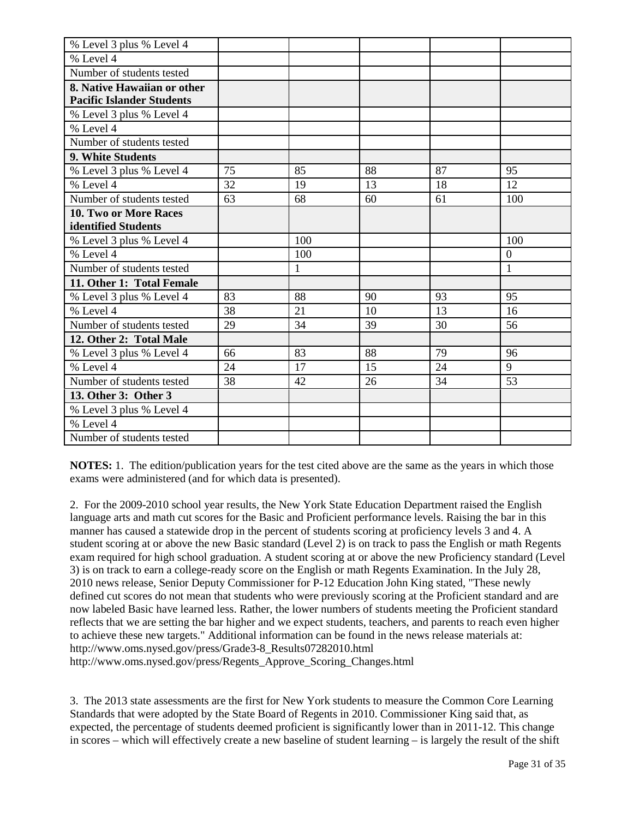| % Level 3 plus % Level 4         |    |              |    |    |                |
|----------------------------------|----|--------------|----|----|----------------|
| % Level 4                        |    |              |    |    |                |
| Number of students tested        |    |              |    |    |                |
| 8. Native Hawaiian or other      |    |              |    |    |                |
| <b>Pacific Islander Students</b> |    |              |    |    |                |
| % Level 3 plus % Level 4         |    |              |    |    |                |
| % Level 4                        |    |              |    |    |                |
| Number of students tested        |    |              |    |    |                |
| 9. White Students                |    |              |    |    |                |
| % Level 3 plus % Level 4         | 75 | 85           | 88 | 87 | 95             |
| $%$ Level 4                      | 32 | 19           | 13 | 18 | 12             |
| Number of students tested        | 63 | 68           | 60 | 61 | 100            |
| 10. Two or More Races            |    |              |    |    |                |
| identified Students              |    |              |    |    |                |
| % Level 3 plus % Level 4         |    | 100          |    |    | 100            |
| % Level 4                        |    | 100          |    |    | $\overline{0}$ |
| Number of students tested        |    | $\mathbf{1}$ |    |    | $\mathbf{1}$   |
| 11. Other 1: Total Female        |    |              |    |    |                |
| % Level 3 plus % Level 4         | 83 | 88           | 90 | 93 | 95             |
| % Level 4                        | 38 | 21           | 10 | 13 | 16             |
| Number of students tested        | 29 | 34           | 39 | 30 | 56             |
| 12. Other 2: Total Male          |    |              |    |    |                |
| % Level 3 plus % Level 4         | 66 | 83           | 88 | 79 | 96             |
| % Level 4                        | 24 | 17           | 15 | 24 | 9              |
| Number of students tested        | 38 | 42           | 26 | 34 | 53             |
| 13. Other 3: Other 3             |    |              |    |    |                |
| % Level 3 plus % Level 4         |    |              |    |    |                |
| % Level 4                        |    |              |    |    |                |
| Number of students tested        |    |              |    |    |                |

**NOTES:** 1. The edition/publication years for the test cited above are the same as the years in which those exams were administered (and for which data is presented).

2. For the 2009-2010 school year results, the New York State Education Department raised the English language arts and math cut scores for the Basic and Proficient performance levels. Raising the bar in this manner has caused a statewide drop in the percent of students scoring at proficiency levels 3 and 4. A student scoring at or above the new Basic standard (Level 2) is on track to pass the English or math Regents exam required for high school graduation. A student scoring at or above the new Proficiency standard (Level 3) is on track to earn a college-ready score on the English or math Regents Examination. In the July 28, 2010 news release, Senior Deputy Commissioner for P-12 Education John King stated, "These newly defined cut scores do not mean that students who were previously scoring at the Proficient standard and are now labeled Basic have learned less. Rather, the lower numbers of students meeting the Proficient standard reflects that we are setting the bar higher and we expect students, teachers, and parents to reach even higher to achieve these new targets." Additional information can be found in the news release materials at: http://www.oms.nysed.gov/press/Grade3-8\_Results07282010.html http://www.oms.nysed.gov/press/Regents\_Approve\_Scoring\_Changes.html

3. The 2013 state assessments are the first for New York students to measure the Common Core Learning Standards that were adopted by the State Board of Regents in 2010. Commissioner King said that, as expected, the percentage of students deemed proficient is significantly lower than in 2011-12. This change in scores – which will effectively create a new baseline of student learning – is largely the result of the shift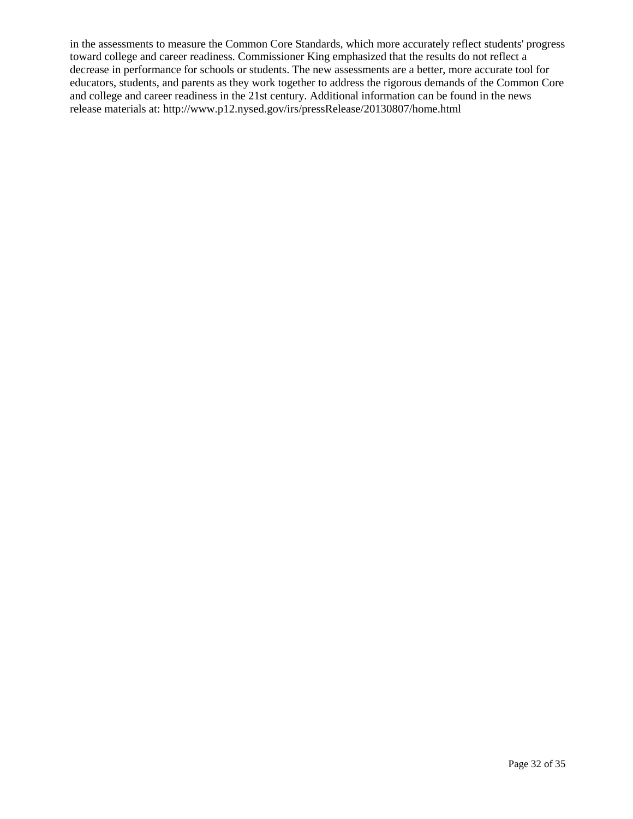in the assessments to measure the Common Core Standards, which more accurately reflect students' progress toward college and career readiness. Commissioner King emphasized that the results do not reflect a decrease in performance for schools or students. The new assessments are a better, more accurate tool for educators, students, and parents as they work together to address the rigorous demands of the Common Core and college and career readiness in the 21st century. Additional information can be found in the news release materials at: http://www.p12.nysed.gov/irs/pressRelease/20130807/home.html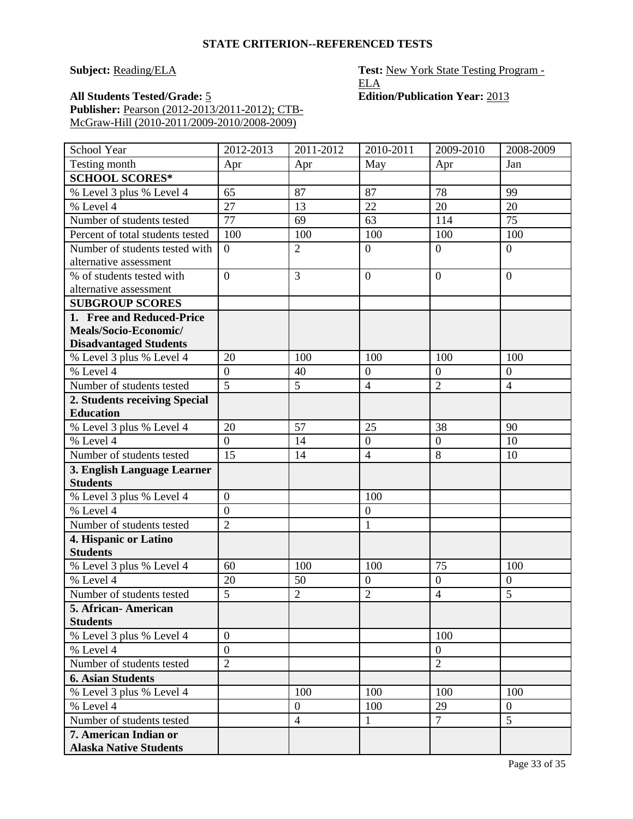**Subject:** Reading/ELA **Test:** New York State Testing Program -ELA

**All Students Tested/Grade:** 5 **Edition/Publication Year:** 2013 **Publisher:** Pearson (2012-2013/2011-2012); CTB-McGraw-Hill (2010-2011/2009-2010/2008-2009)

| Testing month<br>May<br>Jan<br>Apr<br>Apr<br>Apr<br><b>SCHOOL SCORES*</b><br>78<br>65<br>87<br>87<br>99<br>% Level 3 plus % Level 4<br>27<br>% Level 4<br>22<br>20<br>20<br>13<br>Number of students tested<br>77<br>114<br>75<br>69<br>63<br>Percent of total students tested<br>100<br>100<br>100<br>100<br>100<br>$\overline{2}$<br>Number of students tested with<br>$\overline{0}$<br>$\overline{0}$<br>$\overline{0}$<br>$\overline{0}$<br>alternative assessment<br>$\overline{0}$<br>3<br>$\overline{0}$<br>% of students tested with<br>$\overline{0}$<br>$\overline{0}$<br>alternative assessment<br><b>SUBGROUP SCORES</b><br>1. Free and Reduced-Price | School Year | 2012-2013 | 2011-2012 | 2010-2011 | 2009-2010 | 2008-2009 |
|--------------------------------------------------------------------------------------------------------------------------------------------------------------------------------------------------------------------------------------------------------------------------------------------------------------------------------------------------------------------------------------------------------------------------------------------------------------------------------------------------------------------------------------------------------------------------------------------------------------------------------------------------------------------|-------------|-----------|-----------|-----------|-----------|-----------|
|                                                                                                                                                                                                                                                                                                                                                                                                                                                                                                                                                                                                                                                                    |             |           |           |           |           |           |
|                                                                                                                                                                                                                                                                                                                                                                                                                                                                                                                                                                                                                                                                    |             |           |           |           |           |           |
|                                                                                                                                                                                                                                                                                                                                                                                                                                                                                                                                                                                                                                                                    |             |           |           |           |           |           |
|                                                                                                                                                                                                                                                                                                                                                                                                                                                                                                                                                                                                                                                                    |             |           |           |           |           |           |
|                                                                                                                                                                                                                                                                                                                                                                                                                                                                                                                                                                                                                                                                    |             |           |           |           |           |           |
|                                                                                                                                                                                                                                                                                                                                                                                                                                                                                                                                                                                                                                                                    |             |           |           |           |           |           |
|                                                                                                                                                                                                                                                                                                                                                                                                                                                                                                                                                                                                                                                                    |             |           |           |           |           |           |
|                                                                                                                                                                                                                                                                                                                                                                                                                                                                                                                                                                                                                                                                    |             |           |           |           |           |           |
|                                                                                                                                                                                                                                                                                                                                                                                                                                                                                                                                                                                                                                                                    |             |           |           |           |           |           |
|                                                                                                                                                                                                                                                                                                                                                                                                                                                                                                                                                                                                                                                                    |             |           |           |           |           |           |
|                                                                                                                                                                                                                                                                                                                                                                                                                                                                                                                                                                                                                                                                    |             |           |           |           |           |           |
|                                                                                                                                                                                                                                                                                                                                                                                                                                                                                                                                                                                                                                                                    |             |           |           |           |           |           |
| Meals/Socio-Economic/                                                                                                                                                                                                                                                                                                                                                                                                                                                                                                                                                                                                                                              |             |           |           |           |           |           |
| <b>Disadvantaged Students</b>                                                                                                                                                                                                                                                                                                                                                                                                                                                                                                                                                                                                                                      |             |           |           |           |           |           |
| % Level 3 plus % Level 4<br>100<br>100<br>20<br>100<br>100<br>$\overline{0}$<br>$\overline{0}$                                                                                                                                                                                                                                                                                                                                                                                                                                                                                                                                                                     |             |           |           |           |           |           |
| % Level 4<br>$\overline{0}$<br>40<br>$\overline{0}$<br>$\overline{5}$<br>$\overline{2}$<br>5<br>$\overline{4}$                                                                                                                                                                                                                                                                                                                                                                                                                                                                                                                                                     |             |           |           |           |           |           |
| Number of students tested<br>$\overline{4}$                                                                                                                                                                                                                                                                                                                                                                                                                                                                                                                                                                                                                        |             |           |           |           |           |           |
| 2. Students receiving Special<br><b>Education</b>                                                                                                                                                                                                                                                                                                                                                                                                                                                                                                                                                                                                                  |             |           |           |           |           |           |
| % Level 3 plus % Level 4<br>20<br>57<br>25<br>38<br>90                                                                                                                                                                                                                                                                                                                                                                                                                                                                                                                                                                                                             |             |           |           |           |           |           |
| 10<br>% Level 4<br>$\overline{0}$<br>14<br>$\boldsymbol{0}$<br>$\overline{0}$                                                                                                                                                                                                                                                                                                                                                                                                                                                                                                                                                                                      |             |           |           |           |           |           |
| 8<br>15<br>Number of students tested<br>14<br>$\overline{4}$<br>10                                                                                                                                                                                                                                                                                                                                                                                                                                                                                                                                                                                                 |             |           |           |           |           |           |
| 3. English Language Learner                                                                                                                                                                                                                                                                                                                                                                                                                                                                                                                                                                                                                                        |             |           |           |           |           |           |
| <b>Students</b>                                                                                                                                                                                                                                                                                                                                                                                                                                                                                                                                                                                                                                                    |             |           |           |           |           |           |
| $\overline{0}$<br>100<br>% Level 3 plus % Level 4                                                                                                                                                                                                                                                                                                                                                                                                                                                                                                                                                                                                                  |             |           |           |           |           |           |
| % Level 4<br>$\overline{0}$<br>$\boldsymbol{0}$                                                                                                                                                                                                                                                                                                                                                                                                                                                                                                                                                                                                                    |             |           |           |           |           |           |
| $\overline{2}$<br>Number of students tested<br>$\mathbf{1}$                                                                                                                                                                                                                                                                                                                                                                                                                                                                                                                                                                                                        |             |           |           |           |           |           |
| 4. Hispanic or Latino                                                                                                                                                                                                                                                                                                                                                                                                                                                                                                                                                                                                                                              |             |           |           |           |           |           |
| <b>Students</b>                                                                                                                                                                                                                                                                                                                                                                                                                                                                                                                                                                                                                                                    |             |           |           |           |           |           |
| 75<br>60<br>100<br>100<br>100<br>% Level 3 plus % Level 4                                                                                                                                                                                                                                                                                                                                                                                                                                                                                                                                                                                                          |             |           |           |           |           |           |
| % Level $4$<br>20<br>50<br>$\boldsymbol{0}$<br>$\boldsymbol{0}$<br>$\overline{0}$                                                                                                                                                                                                                                                                                                                                                                                                                                                                                                                                                                                  |             |           |           |           |           |           |
| 5<br>$\overline{2}$<br>$\overline{2}$<br>$\overline{4}$<br>5<br>Number of students tested                                                                                                                                                                                                                                                                                                                                                                                                                                                                                                                                                                          |             |           |           |           |           |           |
| 5. African-American                                                                                                                                                                                                                                                                                                                                                                                                                                                                                                                                                                                                                                                |             |           |           |           |           |           |
| <b>Students</b>                                                                                                                                                                                                                                                                                                                                                                                                                                                                                                                                                                                                                                                    |             |           |           |           |           |           |
| 100<br>% Level 3 plus % Level 4<br>$\overline{0}$                                                                                                                                                                                                                                                                                                                                                                                                                                                                                                                                                                                                                  |             |           |           |           |           |           |
| % Level 4<br>$\overline{0}$<br>$\overline{0}$                                                                                                                                                                                                                                                                                                                                                                                                                                                                                                                                                                                                                      |             |           |           |           |           |           |
| $\overline{2}$<br>$\overline{2}$<br>Number of students tested                                                                                                                                                                                                                                                                                                                                                                                                                                                                                                                                                                                                      |             |           |           |           |           |           |
| <b>6. Asian Students</b>                                                                                                                                                                                                                                                                                                                                                                                                                                                                                                                                                                                                                                           |             |           |           |           |           |           |
| % Level 3 plus % Level 4<br>100<br>100<br>100<br>100                                                                                                                                                                                                                                                                                                                                                                                                                                                                                                                                                                                                               |             |           |           |           |           |           |
| 29<br>% Level 4<br>$\boldsymbol{0}$<br>100<br>$\overline{0}$                                                                                                                                                                                                                                                                                                                                                                                                                                                                                                                                                                                                       |             |           |           |           |           |           |
| $\overline{7}$<br>$\overline{5}$<br>$\overline{4}$<br>Number of students tested<br>$\mathbf{1}$                                                                                                                                                                                                                                                                                                                                                                                                                                                                                                                                                                    |             |           |           |           |           |           |
| 7. American Indian or                                                                                                                                                                                                                                                                                                                                                                                                                                                                                                                                                                                                                                              |             |           |           |           |           |           |
| <b>Alaska Native Students</b>                                                                                                                                                                                                                                                                                                                                                                                                                                                                                                                                                                                                                                      |             |           |           |           |           |           |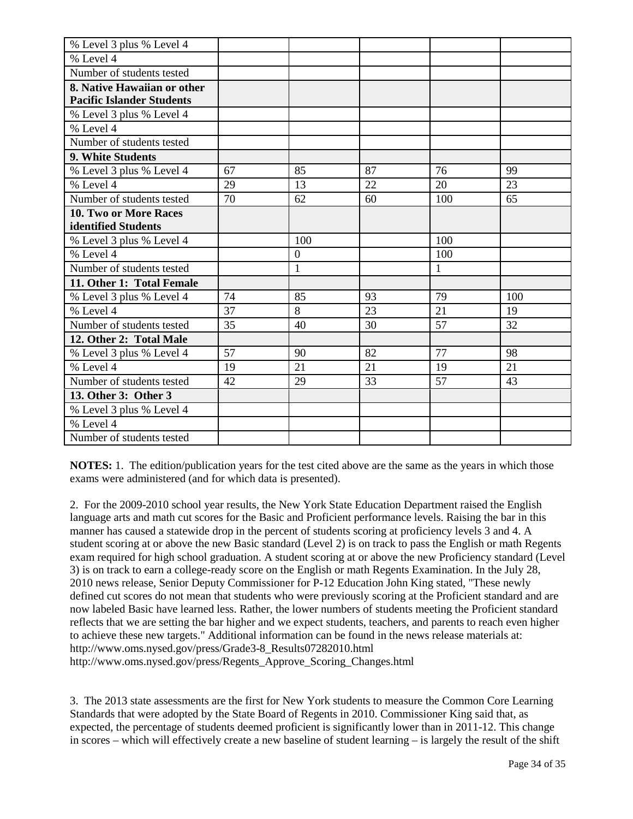| % Level 3 plus % Level 4         |    |              |    |     |     |
|----------------------------------|----|--------------|----|-----|-----|
| % Level 4                        |    |              |    |     |     |
| Number of students tested        |    |              |    |     |     |
| 8. Native Hawaiian or other      |    |              |    |     |     |
| <b>Pacific Islander Students</b> |    |              |    |     |     |
| % Level 3 plus % Level 4         |    |              |    |     |     |
| % Level 4                        |    |              |    |     |     |
| Number of students tested        |    |              |    |     |     |
| 9. White Students                |    |              |    |     |     |
| % Level 3 plus % Level 4         | 67 | 85           | 87 | 76  | 99  |
| % Level 4                        | 29 | 13           | 22 | 20  | 23  |
| Number of students tested        | 70 | 62           | 60 | 100 | 65  |
| <b>10. Two or More Races</b>     |    |              |    |     |     |
| identified Students              |    |              |    |     |     |
| % Level 3 plus % Level 4         |    | 100          |    | 100 |     |
| % Level 4                        |    | $\mathbf{0}$ |    | 100 |     |
| Number of students tested        |    | $\mathbf{1}$ |    | 1   |     |
| 11. Other 1: Total Female        |    |              |    |     |     |
| % Level 3 plus % Level 4         | 74 | 85           | 93 | 79  | 100 |
| % Level 4                        | 37 | 8            | 23 | 21  | 19  |
| Number of students tested        | 35 | 40           | 30 | 57  | 32  |
| 12. Other 2: Total Male          |    |              |    |     |     |
| % Level 3 plus % Level 4         | 57 | 90           | 82 | 77  | 98  |
| % Level 4                        | 19 | 21           | 21 | 19  | 21  |
| Number of students tested        | 42 | 29           | 33 | 57  | 43  |
| 13. Other 3: Other 3             |    |              |    |     |     |
| % Level 3 plus % Level 4         |    |              |    |     |     |
| % Level 4                        |    |              |    |     |     |
| Number of students tested        |    |              |    |     |     |

**NOTES:** 1. The edition/publication years for the test cited above are the same as the years in which those exams were administered (and for which data is presented).

2. For the 2009-2010 school year results, the New York State Education Department raised the English language arts and math cut scores for the Basic and Proficient performance levels. Raising the bar in this manner has caused a statewide drop in the percent of students scoring at proficiency levels 3 and 4. A student scoring at or above the new Basic standard (Level 2) is on track to pass the English or math Regents exam required for high school graduation. A student scoring at or above the new Proficiency standard (Level 3) is on track to earn a college-ready score on the English or math Regents Examination. In the July 28, 2010 news release, Senior Deputy Commissioner for P-12 Education John King stated, "These newly defined cut scores do not mean that students who were previously scoring at the Proficient standard and are now labeled Basic have learned less. Rather, the lower numbers of students meeting the Proficient standard reflects that we are setting the bar higher and we expect students, teachers, and parents to reach even higher to achieve these new targets." Additional information can be found in the news release materials at: http://www.oms.nysed.gov/press/Grade3-8\_Results07282010.html http://www.oms.nysed.gov/press/Regents\_Approve\_Scoring\_Changes.html

3. The 2013 state assessments are the first for New York students to measure the Common Core Learning Standards that were adopted by the State Board of Regents in 2010. Commissioner King said that, as expected, the percentage of students deemed proficient is significantly lower than in 2011-12. This change in scores – which will effectively create a new baseline of student learning – is largely the result of the shift